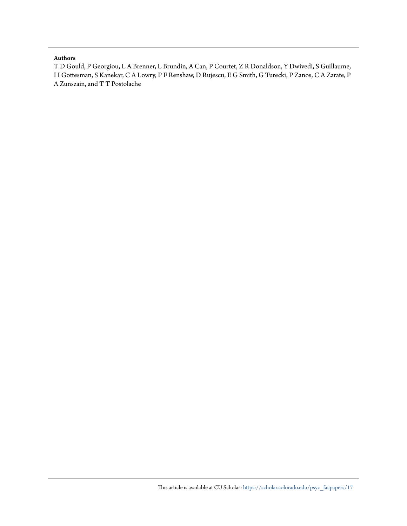# **Authors**

T D Gould, P Georgiou, L A Brenner, L Brundin, A Can, P Courtet, Z R Donaldson, Y Dwivedi, S Guillaume, I I Gottesman, S Kanekar, C A Lowry, P F Renshaw, D Rujescu, E G Smith, G Turecki, P Zanos, C A Zarate, P A Zunszain, and T T Postolache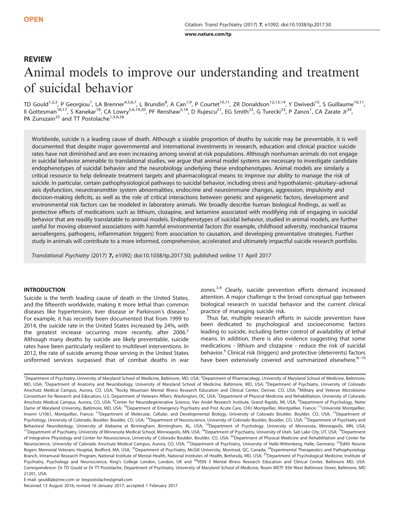[www.nature.com/tp](http://www.nature.com/tp)

# REVIEW Animal models to improve our understanding and treatment of suicidal behavior

TD Gould<sup>1,2,3</sup>, P Georgiou<sup>1</sup>, LA Brenner<sup>4,5,6,7</sup>, L Brundin<sup>8</sup>, A Can<sup>1,9</sup>, P Courtet<sup>10,11</sup>, ZR Donaldson<sup>12,13,14</sup>, Y Dwivedi<sup>15</sup>, S Guillaume<sup>10,11</sup>, II Gottesman<sup>16,17</sup>, S Kanekar<sup>18</sup>, CA Lowry<sup>5,6,19,20</sup>, PF Renshaw<sup>5,18</sup>, D Rujescu<sup>21</sup>, EG Smith<sup>22</sup>, G Turecki<sup>23</sup>, P Zanos<sup>1</sup>, CA Zarate Jr<sup>24</sup>, PA Zunszain<sup>25</sup> and TT Postolache<sup>1,5,6,26</sup>

Worldwide, suicide is a leading cause of death. Although a sizable proportion of deaths by suicide may be preventable, it is well documented that despite major governmental and international investments in research, education and clinical practice suicide rates have not diminished and are even increasing among several at-risk populations. Although nonhuman animals do not engage in suicidal behavior amenable to translational studies, we argue that animal model systems are necessary to investigate candidate endophenotypes of suicidal behavior and the neurobiology underlying these endophenotypes. Animal models are similarly a critical resource to help delineate treatment targets and pharmacological means to improve our ability to manage the risk of suicide. In particular, certain pathophysiological pathways to suicidal behavior, including stress and hypothalamic–pituitary–adrenal axis dysfunction, neurotransmitter system abnormalities, endocrine and neuroimmune changes, aggression, impulsivity and decision-making deficits, as well as the role of critical interactions between genetic and epigenetic factors, development and environmental risk factors can be modeled in laboratory animals. We broadly describe human biological findings, as well as protective effects of medications such as lithium, clozapine, and ketamine associated with modifying risk of engaging in suicidal behavior that are readily translatable to animal models. Endophenotypes of suicidal behavior, studied in animal models, are further useful for moving observed associations with harmful environmental factors (for example, childhood adversity, mechanical trauma aeroallergens, pathogens, inflammation triggers) from association to causation, and developing preventative strategies. Further study in animals will contribute to a more informed, comprehensive, accelerated and ultimately impactful suicide research portfolio.

Translational Psychiatry (2017) 7, e1092; doi[:10.1038/tp.2017.50](http://dx.doi.org/10.1038/tp.2017.50); published online 11 April 2017

## **INTRODUCTION**

Suicide is the tenth leading cause of death in the United States, and the fifteenth worldwide, making it more lethal than common diseases like hypertension, liver disease or Parkinson's disease.<sup>1</sup> For example, it has recently been documented that from 1999 to 2014, the suicide rate in the United States increased by 24%, with the greatest increase occurring more recently, after  $2006$ <sup>2</sup> Although many deaths by suicide are likely preventable, suicide rates have been particularly resilient to multilevel interventions. In 2012, the rate of suicide among those serving in the United States uniformed services surpassed that of combat deaths in war zones.<sup>3,4</sup> Clearly, suicide prevention efforts demand increased attention. A major challenge is the broad conceptual gap between biological research in suicidal behavior and the current clinical practice of managing suicide risk.

Thus far, multiple research efforts in suicide prevention have been dedicated to psychological and socioeconomic factors leading to suicide, including better control of availability of lethal means. In addition, there is also evidence suggesting that some medications - lithium and clozapine - reduce the risk of suicidal behavior.<sup>5</sup> Clinical risk (triggers) and protective (deterrents) factors have been extensively covered and summarized elsewhere.<sup>6-10</sup>

<sup>1</sup>Department of Psychiatry, University of Maryland School of Medicine, Baltimore, MD, USA; <sup>2</sup>Department of Pharmacology, University of Maryland School of Medicine, Baltimore, MD, USA; <sup>3</sup>Department of Anatomy and Neurobiology, University of Maryland School of Medicine, Baltimore, MD, USA; <sup>4</sup>Department of Psychiatry, University of Colorado Anschutz Medical Campus, Aurora, CO, USA; <sup>5</sup>Rocky Mountain Mental Illness Research Education and Clinical Center, Denver, CO, USA; <sup>6</sup>Military and Veteran Microbiome Consortium for Research and Education, U.S. Department of Veterans Affairs, Washington, DC, USA; <sup>7</sup>Department of Physical Medicine and Rehabilitation, University of Colorado Anschutz Medical Campus, Aurora, CO, USA; <sup>8</sup>Center for Neurodegenerative Science, Van Andel Research Institute, Grand Rapids, MI, USA; <sup>9</sup>Department of Psychology, Notre Dame of Maryland University, Baltimore, MD, USA; <sup>10</sup>Department of Emergency Psychiatry and Post Acute Care, CHU Montpellier, Montpellier, France; <sup>11</sup>Université Montpellier, Inserm U1061, Montpellier, France; <sup>12</sup>Department of Molecular, Cellular, and Developmental Biology, University of Colorado Boulder, Boulder, CO, USA; <sup>13</sup>Department of Psychology, University of Colorado, Boulder, Boulder, CO, USA; <sup>14</sup>Department of Neuroscience, University of Colorado Boulder, Boulder, CO, USA; <sup>15</sup>Department of Psychiatry and Behavioral Neurobiology, University of Alabama at Birmingham, Birmingham, AL, USA; <sup>16</sup>Department of Psychology, University of Minnesota, Minneapolis, MN, USA; <sup>17</sup>Department of Psychiatry, University of Minnesota Medical School, Minneapolis, MN, USA; <sup>18</sup>Department of Psychiatry, University of Utah, Salt Lake City, UT, USA; <sup>19</sup>Department of Integrative Physiology and Center for Neuroscience, University of Colorado Boulder, Boulder, CO, USA; <sup>20</sup>Department of Physical Medicine and Rehabilitation and Center for Neuroscience, University of Colorado Anschutz Medical Campus, Aurora, CO, USA; <sup>21</sup>Department of Psychiatry, University of Halle-Wittenberg, Halle, Germany; <sup>22</sup>Edith Nourse Rogers Memorial Veterans Hospital, Bedford, MA, USA; <sup>23</sup>Department of Psychiatry, McGill University, Montreal, QC, Canada; <sup>24</sup>Experimental Therapeutics and Pathophysiology Branch, Intramural Research Program, National Institute of Mental Health, National Institutes of Health, Bethesda, MD, USA; <sup>25</sup>Department of Psychological Medicine, Institute of Psychiatry, Psychology and Neuroscience, King's College London, London, UK and <sup>26</sup>VISN 5 Mental Illness Research Education and Clinical Center, Baltimore MD, USA. Correspondence: Dr TD Gould or Dr TT Postolache, Department of Psychiatry, University of Maryland School of Medicine, Room MSTF 936 West Baltimore Street, Baltimore, MD 21201, USA.

E-mail: [gouldlab@me.com](mailto:gouldlab@me.com) or [teopostolache@gmail.com](mailto:teopostolache@gmail.com)

Received 13 August 2016; revised 16 January 2017; accepted 1 February 2017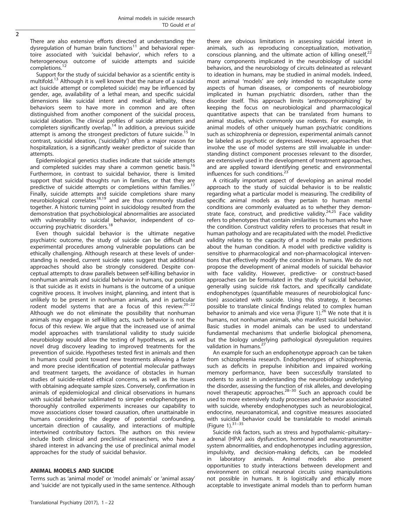There are also extensive efforts directed at understanding the dysregulation of human brain functions<sup>11</sup> and behavioral repertoire associated with 'suicidal behavior', which refers to a heterogeneous outcome of suicide attempts and suicide completions.<sup>12</sup>

Support for the study of suicidal behavior as a scientific entity is multifold.<sup>13</sup> Although it is well known that the nature of a suicidal act (suicide attempt or completed suicide) may be influenced by gender, age, availability of a lethal mean, and specific suicidal dimensions like suicidal intent and medical lethality, these behaviors seem to have more in common and are often distinguished from another component of the suicidal process, suicidal ideation. The clinical profiles of suicide attempters and completers significantly overlap.<sup>14</sup> In addition, a previous suicide attempt is among the strongest predictors of future suicide.<sup>15</sup> In contrast, suicidal ideation, ('suicidality') often a major reason for hospitalization, is a significantly weaker predictor of suicide than **attempts** 

Epidemiological genetics studies indicate that suicide attempts and completed suicides may share a common genetic basis.<sup>16</sup> Furthermore, in contrast to suicidal behavior, there is limited support that suicidal thoughts run in families, or that they are predictive of suicide attempts or completions within families.<sup>17</sup> Finally, suicide attempts and suicide completions share many neurobiological correlates<sup>18,19</sup> and are thus commonly studied together. A historic turning point in suicidology resulted from the demonstration that psychobiological abnormalities are associated with vulnerability to suicidal behavior, independent of cooccurring psychiatric disorders.<sup>18</sup>

Even though suicidal behavior is the ultimate negative psychiatric outcome, the study of suicide can be difficult and experimental procedures among vulnerable populations can be ethically challenging. Although research at these levels of understanding is needed, current suicide rates suggest that additional approaches should also be strongly considered. Despite conceptual attempts to draw parallels between self-killing behavior in nonhuman animals and suicidal behavior in humans, our position is that suicide as it exists in humans is the outcome of a unique cognitive process. It involves insight, planning, and intent that is unlikely to be present in nonhuman animals, and in particular rodent model systems that are a focus of this review. $20-22$ Although we do not eliminate the possibility that nonhuman animals may engage in self-killing acts, such behavior is not the focus of this review. We argue that the increased use of animal model approaches with translational validity to study suicide neurobiology would allow the testing of hypotheses, as well as novel drug discovery leading to improved treatments for the prevention of suicide. Hypotheses tested first in animals and then in humans could point toward new treatments allowing a faster and more precise identification of potential molecular pathways and treatment targets, the avoidance of obstacles in human studies of suicide-related ethical concerns, as well as the issues with obtaining adequate sample sizes. Conversely, confirmation in animals of epidemiological and clinical observations in humans with suicidal behavior sublimated to simpler endophenotypes in thoroughly controlled experiments increases our capability to move associations closer toward causation, often unattainable in humans considering the degree of potential confounding, uncertain direction of causality, and interactions of multiple intertwined contributory factors. The authors on this review include both clinical and preclinical researchers, who have a shared interest in advancing the use of preclinical animal model approaches for the study of suicidal behavior.

## ANIMAL MODELS AND SUICIDE

Terms such as 'animal model' or 'model animals' or 'animal assay' and 'suicide' are not typically used in the same sentence. Although there are obvious limitations in assessing suicidal intent in animals, such as reproducing conceptualization, motivation, conscious planning, and the ultimate action of killing oneself.<sup>22</sup> many components implicated in the neurobiology of suicidal behaviors, and the neurobiology of circuits delineated as relevant to ideation in humans, may be studied in animal models. Indeed, most animal 'models' are only intended to recapitulate some aspects of human diseases, or components of neurobiology implicated in human psychiatric disorders, rather than the disorder itself. This approach limits 'anthropomorphizing' by keeping the focus on neurobiological and pharmacological quantitative aspects that can be translated from humans to animal studies, which commonly use rodents. For example, in animal models of other uniquely human psychiatric conditions such as schizophrenia or depression, experimental animals cannot be labeled as psychotic or depressed. However, approaches that involve the use of model systems are still invaluable in understanding distinct component processes relevant to the disorder, are extensively used in the development of treatment approaches, and are applied toward identifying genetic and environmental influences for such conditions.<sup>23</sup>

A critically important aspect of developing an animal model approach to the study of suicidal behavior is to be realistic regarding what a particular model is measuring. The credibility of specific animal models as they pertain to human mental conditions are commonly evaluated as to whether they demonstrate face, construct, and predictive validity. $24.25$  Face validity refers to phenotypes that contain similarities to humans who have the condition. Construct validity refers to processes that result in human pathology and are recapitulated with the model. Predictive validity relates to the capacity of a model to make predictions about the human condition. A model with predictive validity is sensitive to pharmacological and non-pharmacological interventions that effectively modify the condition in humans. We do not propose the development of animal models of suicidal behavior with face validity. However, predictive- or construct-based approaches can be formulated in the study of suicidal behavior, generally using suicide risk factors, and specifically candidate endophenotypes (quantifiable measures of neurobiological function) associated with suicide. Using this strategy, it becomes possible to translate clinical findings related to complex human behavior to animals and vice versa (Figure 1).<sup>26</sup> We note that it is humans, not nonhuman animals, who manifest suicidal behavior. Basic studies in model animals can be used to understand fundamental mechanisms that underlie biological phenomena, but the biology underlying pathological dysregulation requires validation in humans.<sup>27</sup>

An example for such an endophenotype approach can be taken from schizophrenia research. Endophenotypes of schizophrenia, such as deficits in prepulse inhibition and impaired working memory performance, have been successfully translated to rodents to assist in understanding the neurobiology underlying the disorder, assessing the function of risk alleles, and developing novel therapeutic approaches.<sup>28–30</sup> Such an approach could be used to more extensively study processes and behavior associated with suicide, whereby endophenotypes such as neurobiological, endocrine, neuroanatomical, and cognitive measures associated with suicidal behavior could be translatable to model animals (Figure 1).31–<sup>35</sup>

Suicide risk factors, such as stress and hypothalamic–pituitary– adrenal (HPA) axis dysfunction, hormonal and neurotransmitter system abnormalities, and endophenotypes including aggression, impulsivity, and decision-making deficits, can be modeled in laboratory animals. Animal models also present opportunities to study interactions between development and environment on critical neuronal circuits using manipulations not possible in humans. It is logistically and ethically more acceptable to investigate animal models than to perform human

 $\overline{2}$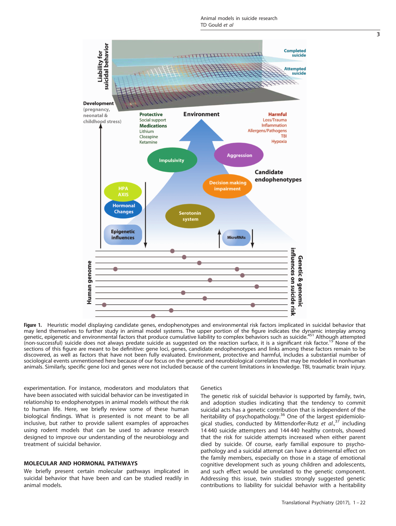

Figure 1. Heuristic model displaying candidate genes, endophenotypes and environmental risk factors implicated in suicidal behavior that may lend themselves to further study in animal model systems. The upper portion of the figure indicates the dynamic interplay among genetic, epigenetic and environmental factors that produce cumulative liability to complex behaviors such as suicide.<sup>451</sup> Although attempted (non-successful) suicide does not always predate suicide as suggested on the reaction surface, it is a significant risk factor.15 None of the sections of this figure are meant to be definitive: gene loci, genes, candidate endophenotypes and links among these factors remain to be discovered, as well as factors that have not been fully evaluated. Environment, protective and harmful, includes a substantial number of sociological events unmentioned here because of our focus on the genetic and neurobiological correlates that may be modeled in nonhuman animals. Similarly, specific gene loci and genes were not included because of the current limitations in knowledge. TBI, traumatic brain injury.

experimentation. For instance, moderators and modulators that have been associated with suicidal behavior can be investigated in relationship to endophenotypes in animal models without the risk to human life. Here, we briefly review some of these human biological findings. What is presented is not meant to be all inclusive, but rather to provide salient examples of approaches using rodent models that can be used to advance research designed to improve our understanding of the neurobiology and treatment of suicidal behavior.

## MOLECULAR AND HORMONAL PATHWAYS

We briefly present certain molecular pathways implicated in suicidal behavior that have been and can be studied readily in animal models.

#### **Genetics**

The genetic risk of suicidal behavior is supported by family, twin, and adoption studies indicating that the tendency to commit suicidal acts has a genetic contribution that is independent of the heritability of psychopathology.<sup>36</sup> One of the largest epidemiological studies, conducted by Mittendorfer-Rutz et  $al_n^{37}$  including 14 440 suicide attempters and 144 440 healthy controls, showed that the risk for suicide attempts increased when either parent died by suicide. Of course, early familial exposure to psychopathology and a suicidal attempt can have a detrimental effect on the family members, especially on those in a stage of emotional cognitive development such as young children and adolescents, and such effect would be unrelated to the genetic component. Addressing this issue, twin studies strongly suggested genetic contributions to liability for suicidal behavior with a heritability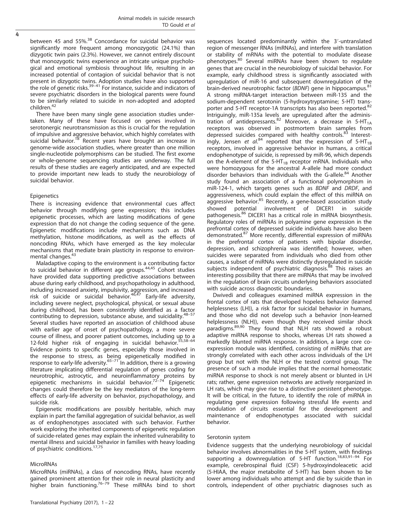between 45 and 55%.<sup>38</sup> Concordance for suicidal behavior was significantly more frequent among monozygotic (24.1%) than dizygotic twin pairs (2.3%). However, we cannot entirely discount that monozygotic twins experience an intricate unique psychological and emotional symbiosis throughout life, resulting in an increased potential of contagion of suicidal behavior that is not present in dizygotic twins. Adoption studies have also supported<br>the role of genetic risks.<sup>39–41</sup> For instance, suicide and indicators of severe psychiatric disorders in the biological parents were found to be similarly related to suicide in non-adopted and adopted children.<sup>42</sup>

There have been many single gene association studies undertaken. Many of these have focused on genes involved in serotonergic neurotransmission as this is crucial for the regulation of impulsive and aggressive behavior, which highly correlates with suicidal behavior.<sup>18</sup> Recent years have brought an increase in genome-wide association studies, where greater than one million single-nucleotide polymorphisms can be studied. The first exome or whole-genome sequencing studies are underway. The full results of these studies are eagerly anticipated, and are expected to provide important new leads to study the neurobiology of suicidal behavior.

## Epigenetics

There is increasing evidence that environmental cues affect behavior through modifying gene expression; this includes epigenetic processes, which are lasting modifications of gene expression that do not change the coding sequence of the gene. Epigenetic modifications include mechanisms such as DNA methylation, histone modifications, as well as the effects of noncoding RNAs, which have emerged as the key molecular mechanisms that mediate brain plasticity in response to environmental changes.<sup>43</sup>

Maladaptive coping to the environment is a contributing factor to suicidal behavior in different age groups.44,45 Cohort studies have provided data supporting predictive associations between abuse during early childhood, and psychopathology in adulthood, including increased anxiety, impulsivity, aggression, and increased risk of suicide or suicidal behavior.46,47 Early-life adversity, including severe neglect, psychological, physical, or sexual abuse during childhood, has been consistently identified as a factor contributing to depression, substance abuse, and suicidality.<sup>48-57</sup> Several studies have reported an association of childhood abuse with earlier age of onset of psychopathology, a more severe course of illness, and poorer patient outcomes, including up to a 12-fold higher risk of engaging in suicidal behavior.<sup>55,58-64</sup> Evidence points to specific genes, especially those involved in the response to stress, as being epigenetically modified in response to early-life adversity.<sup>65–71</sup> In addition, there is a growing literature implicating differential regulation of genes coding for neurotrophic, astrocytic, and neuroinflammatory proteins by epigenetic mechanisms in suicidal behavior.<sup>72-74</sup> Epigenetic changes could therefore be the key mediators of the long-term effects of early-life adversity on behavior, psychopathology, and suicide risk.

Epigenetic modifications are possibly heritable, which may explain in part the familial aggregation of suicidal behavior, as well as of endophenotypes associated with such behavior. Further work exploring the inherited components of epigenetic regulation of suicide-related genes may explain the inherited vulnerability to mental illness and suicidal behavior in families with heavy loading of psychiatric conditions.<sup>17,75</sup>

## **MicroRNAs**

MicroRNAs (miRNAs), a class of noncoding RNAs, have recently gained prominent attention for their role in neural plasticity and higher brain functioning.<sup>76–79</sup> These miRNAs bind to short

Translational Psychiatry (2017), 1 – 22

sequences located predominantly within the 3′-untranslated region of messenger RNAs (mRNAs), and interfere with translation or stability of mRNAs with the potential to modulate disease phenotypes.<sup>80</sup> Several miRNAs have been shown to regulate genes that are crucial in the neurobiology of suicidal behavior. For example, early childhood stress is significantly associated with upregulation of miR-16 and subsequent downregulation of the brain-derived neurotrophic factor (BDNF) gene in hippocampus.<sup>81</sup> A strong miRNA-target interaction between miR-135 and the sodium-dependent serotonin (5-hydroxytryptamine; 5-HT) transporter and 5-HT receptor-1A transcripts has also been reported.<sup>82</sup> Intriguingly, miR-135a levels are upregulated after the administration of antidepressants.<sup>82</sup> Moreover, a decrease in 5-HT<sub>1A</sub> receptors was observed in postmortem brain samples from depressed suicides compared with healthy controls.<sup>83</sup> Interestingly, Jensen et  $al^{84}$  reported that the expression of 5-HT<sub>1B</sub> receptors, involved in aggressive behavior in humans, a critical endophenotype of suicide, is repressed by miR-96, which depends on the A-element of the 5-HT<sub>1B</sub> receptor mRNA. Individuals who were homozygous for the ancestral A-allele had more conduct disorder behaviors than individuals with the G-allele.<sup>84</sup> Another study found an association of a functional polymorphism in miR-124-1, which targets genes such as BDNF and DRDF, and aggressiveness, which could explain the effect of this miRNA on aggressive behavior.<sup>85</sup> Recently, a gene-based association study showed potential involvement of DICER1 in suicide pathogenesis.<sup>86</sup> DICER1 has a critical role in miRNA biosynthesis. Regulatory roles of miRNAs in polyamine gene expression in the prefrontal cortex of depressed suicide individuals have also been demonstrated.<sup>87</sup> More recently, differential expression of miRNAs in the prefrontal cortex of patients with bipolar disorder, depression, and schizophrenia was identified; however, when suicides were separated from individuals who died from other causes, a subset of miRNAs were distinctly dysregulated in suicide subjects independent of psychiatric diagnosis.<sup>88</sup> This raises an interesting possibility that there are miRNAs that may be involved in the regulation of brain circuits underlying behaviors associated with suicide across diagnostic boundaries.

Dwivedi and colleagues examined miRNA expression in the frontal cortex of rats that developed hopeless behavior (learned helplessness (LH)), a risk factor for suicidal behavior in humans, and those who did not develop such a behavior (non-learned helplessness (NLH)), even though they received similar shock paradigms.89,90 They found that NLH rats showed a robust adaptive miRNA response to shocks, whereas LH rats showed a markedly blunted miRNA response. In addition, a large core coexpression module was identified, consisting of miRNAs that are strongly correlated with each other across individuals of the LH group but not with the NLH or the tested control group. The presence of such a module implies that the normal homeostatic miRNA response to shock is not merely absent or blunted in LH rats; rather, gene expression networks are actively reorganized in LH rats, which may give rise to a distinctive persistent phenotype. It will be critical, in the future, to identify the role of miRNA in regulating gene expression following stressful life events and modulation of circuits essential for the development and maintenance of endophenotypes associated with suicidal behavior.

## Serotonin system

Evidence suggests that the underlying neurobiology of suicidal behavior involves abnormalities in the 5-HT system, with findings supporting a downregulation of 5-HT function.18,83,91–<sup>94</sup> For example, cerebrospinal fluid (CSF) 5-hydroxyindoleacetic acid (5-HIAA, the major metabolite of 5-HT) has been shown to be lower among individuals who attempt and die by suicide than in controls, independent of other psychiatric diagnoses such as

4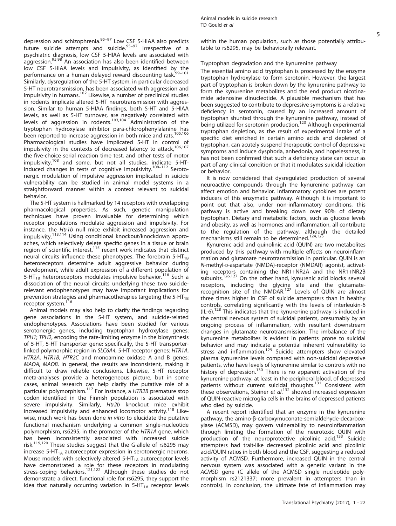depression and schizophrenia.<sup>95-97</sup> Low CSF 5-HIAA also predicts future suicide attempts and suicide.95–<sup>97</sup> Irrespective of a psychiatric diagnosis, low CSF 5-HIAA levels are associated with aggression.<sup>95,98</sup> An association has also been identified between low CSF 5-HIAA levels and impulsivity, as identified by the performance on a human delayed reward discounting task.<sup>99-101</sup> Similarly, dysregulation of the 5-HT system, in particular decreased 5-HT neurotransmission, has been associated with aggression and<br>impulsivity in humans.<sup>102</sup> Likewise, a number of preclinical studies in rodents implicate altered 5-HT neurotransmission with aggression. Similar to human 5-HIAA findings, both 5-HT and 5-HIAA levels, as well as 5-HT turnover, are negatively correlated with levels of aggression in rodents.103,104 Administration of the tryptophan hydroxylase inhibitor para-chlorophenylalanine has been reported to increase aggression in both mice and rats.<sup>105,106</sup> Pharmacological studies have implicated 5-HT in control of impulsivity in the contexts of decreased latency to attack,<sup>106,107</sup> the five-choice serial reaction time test, and other tests of motor impulsivity,<sup>108</sup> and some, but not all studies, indicate 5-HTinduced changes in tests of cognitive impulsivity.<sup>108-112</sup> Serotonergic modulation of impulsive aggression implicated in suicide vulnerability can be studied in animal model systems in a straightforward manner within a context relevant to suicidal behavior.

The 5-HT system is hallmarked by 14 receptors with overlapping pharmacological properties. As such, genetic manipulation techniques have proven invaluable for determining which receptor populations modulate aggression and impulsivity. For instance, the Htr1b null mice exhibit increased aggression and impulsivity.<sup>113,114</sup> Using conditional knockout/knockdown approaches, which selectively delete specific genes in a tissue or brain region of scientific interest, $115$  recent work indicates that distinct neural circuits influence these phenotypes. The forebrain  $5-HT_{1B}$ heteroreceptors determine adult aggressive behavior during development, while adult expression of a different population of 5-HT<sub>1B</sub> heteroreceptors modulates impulsive behavior.<sup>116</sup> Such a dissociation of the neural circuits underlying these two suiciderelevant endophenotypes may have important implications for prevention strategies and pharmacotherapies targeting the 5-HT $_{1B}$ receptor system.<sup>116</sup>

Animal models may also help to clarify the findings regarding gene associations in the 5-HT system, and suicide-related endophenotypes. Associations have been studied for various serotonergic genes, including tryptophan hydroxylase genes: TPH1; TPH2, encoding the rate-limiting enzyme in the biosynthesis of 5-HT, 5-HT transporter gene: specifically, the 5-HT transporterlinked polymorphic region in SLC6A4, 5-HT receptor genes: HTR1A, HTR2A, HTR1B, HTR2C and monoamine oxidase A and B genes: MAOA, MAOB. In general, the results are inconsistent, making it difficult to draw reliable conclusions. Likewise, 5-HT receptor meta-analyses provide a heterogeneous picture, but in some cases, animal research can help clarify the putative role of a particular polymorphism.<sup>117</sup> For instance, a HTR2B premature stop codon identified in the Finnish population is associated with severe impulsivity. Similarly, Htr2b knockout mice exhibit increased impulsivity and enhanced locomotor activity.<sup>118</sup> Likewise, much work has been done in vitro to elucidate the putative functional mechanism underlying a common single-nucleotide polymorphism, rs6295, in the promoter of the HTR1A gene, which has been inconsistently associated with increased suicide risk.119,120 These studies suggest that the G-allele of rs6295 may increase 5-HT $_{1A}$  autoreceptor expression in serotonergic neurons. Mouse models with selectively altered  $5-HT<sub>1A</sub>$  autoreceptor levels have demonstrated a role for these receptors in modulating stress-coping behaviors.<sup>121,122</sup> Although these studies do not demonstrate a direct, functional role for rs6295, they support the idea that naturally occurring variation in  $5-HT_{1A}$  receptor levels within the human population, such as those potentially attributable to rs6295, may be behaviorally relevant.

# Tryptophan degradation and the kynurenine pathway

The essential amino acid tryptophan is processed by the enzyme tryptophan hydroxylase to form serotonin. However, the largest part of tryptophan is broken down by the kynurenine pathway to form the kynurenine metabolites and the end product nicotinamide adenosine dinucleotide. A plausible mechanism that has been suggested to contribute to depressive symptoms is a relative deficiency in serotonin, caused by an increased amount of tryptophan shunted through the kynurenine pathway, instead of being utilized for serotonin production.<sup>123</sup> Although experimental tryptophan depletion, as the result of experimental intake of a specific diet enriched in certain amino acids and depleted of tryptophan, can acutely suspend therapeutic control of depressive symptoms and induce dysphoria, anhedonia, and hopelessness, it has not been confirmed that such a deficiency state can occur as part of any clinical condition or that it modulates suicidal ideation or behavior.

It is now considered that dysregulated production of several neuroactive compounds through the kynurenine pathway can affect emotion and behavior. Inflammatory cytokines are potent inducers of this enzymatic pathway. Although it is important to point out that also, under non-inflammatory conditions, this pathway is active and breaking down over 90% of dietary tryptophan. Dietary and metabolic factors, such as glucose levels and obesity, as well as hormones and inflammation, all contribute to the regulation of the pathway, although the detailed mechanisms still remain to be determined.<sup>124,125</sup>

Kynurenic acid and quinolinic acid (QUIN) are two metabolites produced by this pathway with multiple effects on neuroinflammation and glutamate neurotransmission in particular. QUIN is an N-methyl-D-aspartate (NMDA)-receptor (NMDAR) agonist, activating receptors containing the NR1+NR2A and the NR1+NR2B subunits.<sup>126,127</sup> On the other hand, kynurenic acid blocks several receptors, including the glycine site and the glutamate-<br>recognition site of the NMDAR.<sup>127</sup> Levels of QUIN are almost three times higher in CSF of suicide attempters than in healthy controls, correlating significantly with the levels of interleukin-6  $(IL-6).$ <sup>128</sup> This indicates that the kynurenine pathway is induced in the central nervous system of suicidal patients, presumably by an ongoing process of inflammation, with resultant downstream changes in glutamate neurotransmission. The imbalance of the kynurenine metabolites is evident in patients prone to suicidal behavior and may indicate a potential inherent vulnerability to stress and inflammation.<sup>129</sup> Suicide attempters show elevated plasma kynurenine levels compared with non-suicidal depressive patients, who have levels of kynurenine similar to controls with no<br>history of depression.<sup>130</sup> There is no apparent activation of the kynurenine pathway, at least in the peripheral blood, of depressed patients without current suicidal thoughts.<sup>131</sup> Consistent with these observations, Steiner et al.<sup>132</sup> showed increased expression of QUIN-reactive microglia cells in the brains of depressed patients who died by suicide.

A recent report identified that an enzyme in the kynurenine pathway, the amino-β-carboxymuconate-semialdehyde-decarboxylase (ACMSD), may govern vulnerability to neuroinflammation through limiting the formation of the neurotoxic QUIN with production of the neuroprotective picolinic acid.<sup>133</sup> Suicide attempters had trait-like decreased picolinic acid and picolinic acid/QUIN ratios in both blood and the CSF, suggesting a reduced activity of ACMSD. Furthermore, increased QUIN in the central nervous system was associated with a genetic variant in the ACMSD gene (C allele of the ACMSD single nucleotide polymorphism rs2121337; more prevalent in attempters than in controls). In conclusion, the ultimate fate of inflammation may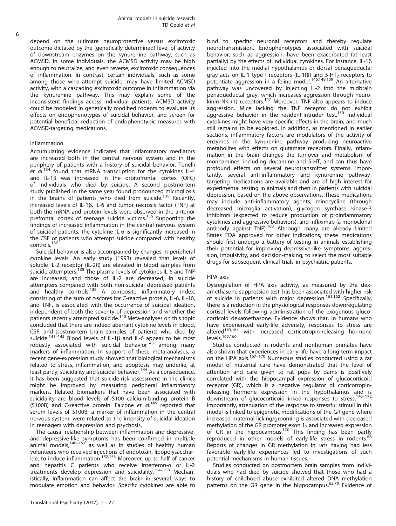Animal models in suicide research TD Gould et al

depend on the ultimate neuroprotective versus excitotoxic outcome dictated by the (genetically determined) level of activity of downstream enzymes on the kynurenine pathway, such as ACMSD. In some individuals, the ACMSD activity may be high enough to neutralize, and even reverse, excitotoxic consequences of inflammation. In contrast, certain individuals, such as some among those who attempt suicide, may have limited ACMSD activity, with a cascading excitotoxic outcome in inflammation via the kynurenine pathway. This may explain some of the inconsistent findings across individual patients. ACMSD activity could be modeled in genetically modified rodents to evaluate its effects on endophenotypes of suicidal behavior, and screen for potential beneficial reduction of endophenotypic measures with ACMSD-targeting medications.

## Inflammation

Accumulating evidence indicates that inflammatory mediators are increased both in the central nervous system and in the periphery of patients with a history of suicidal behavior. Tonelli et al.<sup>134</sup> found that mRNA transcription for the cytokines IL-4 and IL-13 was increased in the orbitofrontal cortex (OFC) of individuals who died by suicide. A second postmortem study published in the same year found pronounced microgliosis in the brains of patients who died from suicide.<sup>135</sup> Recently, increased levels of IL-1β, IL-6 and tumor necrosis factor (TNF) at both the mRNA and protein levels were observed in the anterior prefrontal cortex of teenage suicide victims.<sup>136</sup> Supporting the findings of increased inflammation in the central nervous system of suicidal patients, the cytokine IL-6 is significantly increased in the CSF of patients who attempt suicide compared with healthy controls.<sup>137</sup>

Suicidal behavior is also accompanied by changes in peripheral cytokine levels. An early study (1993) revealed that levels of soluble IL-2 receptor (IL-2R) are elevated in blood samples from suicide attempters.<sup>138</sup> The plasma levels of cytokines IL-6 and TNF are increased, and those of IL-2 are decreased, in suicide attempters compared with both non-suicidal depressed patients and healthy controls.<sup>139</sup> A composite inflammatory index, consisting of the sum of z-scores for C-reactive protein, IL-6, IL-10, and TNF, is associated with the occurrence of suicidal ideation, independent of both the severity of depression and whether the patients recently attempted suicide.<sup>140</sup> Meta-analyses on this topic concluded that there are indeed aberrant cytokine levels in blood, CSF, and postmortem brain samples of patients who died by suicide.141–<sup>143</sup> Blood levels of IL-1β and IL-6 appear to be most robustly associated with suicidal behavior $143$  among many markers of inflammation. In support of these meta-analyses, a recent gene-expression study showed that biological mechanisms related to stress, inflammation, and apoptosis may underlie, at least partly, suicidality and suicidal behavior.<sup>144</sup> As a consequence, it has been suggested that suicide-risk assessment in the clinics might be improved by measuring peripheral inflammatory markers. Related biomarkers that have been associated with suicidality are blood levels of S100 calcium-binding protein B  $(5100B)$  and C-reactive protein. Falcone et  $al.^{145}$  reported that serum levels of S100B, a marker of inflammation in the central nervous system, were related to the intensity of suicidal ideation in teenagers with depression and psychosis.

The causal relationship between inflammation and depressiveand depressive-like symptoms has been confirmed in multiple animal models,<sup>146-151</sup> as well as in studies of healthy human volunteers who received injections of endotoxin, lipopolysaccharide, to induce inflammation.<sup>152,153</sup> Moreover, up to half of cancer and hepatitis C patients who receive interferon-α or IL-2 treatments develop depression and suicidality.154–<sup>158</sup> Mechanistically, inflammation can affect the brain in several ways to modulate emotion and behavior. Specific cytokines are able to bind to specific neuronal receptors and thereby regulate neurotransmission. Endophenotypes associated with suicidal behavior, such as aggression, have been exacerbated (at least partially) by the effects of individual cytokines. For instance, IL-1β injected into the medial hypothalamus or dorsal periaqueductal gray acts on IL-1 type I receptors (IL-1RI) and  $5-HT<sub>2</sub>$  receptors to potentiate aggression in a feline model.<sup>146,149,159</sup> An alternative pathway was uncovered by injecting IL-2 into the midbrain periaqueductal gray, which increases aggression through neurokinin NK (1) receptors.<sup>147</sup> Moreover, TNF also appears to induce aggression. Mice lacking the TNF receptor do not exhibit aggressive behavior in the resident-intruder test.<sup>150</sup> Individual cytokines might have very specific effects in the brain, and much still remains to be explored. In addition, as mentioned in earlier sections, inflammatory factors are modulators of the activity of enzymes in the kynurenine pathway producing neuroactive metabolites with effects on glutamate receptors. Finally, inflammation in the brain changes the turnover and metabolism of monoamines, including dopamine and 5-HT, and can thus have profound effects on several neurotransmitter systems. Importantly, several anti-inflammatory and kynurenine pathwaytargeting medications are available and are of high interest for experimental testing in animals and then in patients with suicidal depression, based on the above observations. These medications may include anti-inflammatory agents, minocycline (through decreased microglia activation), glycogen synthase kinase-3 inhibitors (expected to reduce production of proinflammatory cytokines and aggressive behaviors), and infliximab (a monoclonal antibody against TNF).<sup>160</sup> Although many are already United States FDA approved for other indications, these medications should first undergo a battery of testing in animals establishing their potential for improving depressive-like symptoms, aggression, impulsivity, and decision-making, to select the most suitable drugs for subsequent clinical trials in psychiatric patients.

## HPA axis

Dysregulation of HPA axis activity, as measured by the dexamethasone suppression test, has been associated with higher risk<br>of suicide in patients with major depression.<sup>161,162</sup> Specifically, there is a reduction in the physiological responses downregulating cortisol levels following administration of the exogenous glucocorticoid dexamethasone. Evidence shows that, in humans who have experienced early-life adversity, responses to stress are altered<sup>163,164</sup> with increased corticotropin-releasing hormone levels.165,166

Studies conducted in rodents and nonhuman primates have also shown that experiences in early-life have a long-term impact<br>on the HPA axis.<sup>167–170</sup> Numerous studies conducted using a rat model of maternal care have demonstrated that the level of attention and care given to rat pups by dams is positively correlated with the hippocampal expression of glucocorticoid receptor (GR), which is a negative regulator of corticotropinreleasing hormone expression in the hypothalamus and is downstream of glucocorticoid-linked responses to stress.<sup>170-172</sup> Importantly, attenuation of the response to stressful stimuli in this model is linked to epigenetic modifications of the GR gene where increased maternal licking/grooming is associated with decreased methylation of the GR promoter exon  $1<sub>7</sub>$  and increased expression of GR in the hippocampus.<sup>170</sup> This finding has been partly<br>of GR in the hippocampus.<sup>170</sup> This finding has been partly reproduced in other models of early-life stress in rodents.<sup>4</sup> Reports of changes in GR methylation in rats having had less favorable early-life experiences led to investigations of such potential mechanisms in human tissues.

Studies conducted on postmortem brain samples from individuals who had died by suicide showed that those who had a history of childhood abuse exhibited altered DNA methylation patterns on the GR gene in the hippocampus.<sup>65,70</sup> Evidence of

 $\overline{6}$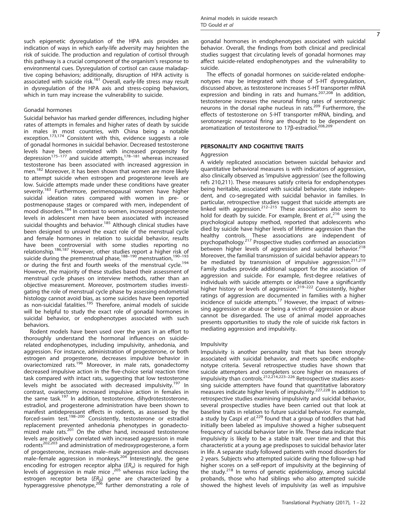such epigenetic dysregulation of the HPA axis provides an indication of ways in which early-life adversity may heighten the risk of suicide. The production and regulation of cortisol through this pathway is a crucial component of the organism's response to environmental cues. Dysregulation of cortisol can cause maladaptive coping behaviors; additionally, disruption of HPA activity is associated with suicide risk.<sup>161</sup> Overall, early-life stress may result in dysregulation of the HPA axis and stress-coping behaviors, which in turn may increase the vulnerability to suicide.

## Gonadal hormones

Suicidal behavior has marked gender differences, including higher rates of attempts in females and higher rates of death by suicide in males in most countries, with China being a notable exception.<sup>173,174</sup> Consistent with this, evidence suggests a role of gonadal hormones in suicidal behavior. Decreased testosterone levels have been correlated with increased propensity for depression<sup>175–177</sup> and suicide attempts,<sup>178–181</sup> whereas increased testosterone has been associated with increased aggression in men.<sup>182</sup> Moreover, it has been shown that women are more likely to attempt suicide when estrogen and progesterone levels are low. Suicide attempts made under these conditions have greater severity.<sup>183</sup> Furthermore, perimenopausal women have higher suicidal ideation rates compared with women in pre- or postmenopause stages or compared with men, independent of mood disorders.<sup>184</sup> In contrast to women, increased progesterone levels in adolescent men have been associated with increased suicidal thoughts and behavior.<sup>185</sup> Although clinical studies have been designed to unravel the exact role of the menstrual cycle and female hormones in relation to suicidal behavior, results have been controversial with some studies reporting no relationship.186,187 However, other studies report a higher risk of suicide during the premenstrual phase,<sup>188-190</sup> menstruation,<sup>190-193</sup> or during the first and fourth weeks of the menstrual cycle.<sup>194</sup> However, the majority of these studies based their assessment of menstrual cycle phases on interview methods, rather than an objective measurement. Moreover, postmortem studies investigating the role of menstrual cycle phase by assessing endometrial histology cannot avoid bias, as some suicides have been reported as non-suicidal fatalities.<sup>195</sup> Therefore, animal models of suicide will be helpful to study the exact role of gonadal hormones in suicidal behavior, or endophenotypes associated with such behaviors.

Rodent models have been used over the years in an effort to thoroughly understand the hormonal influences on suiciderelated endophenotypes, including impulsivity, anhedonia, and aggression. For instance, administration of progesterone, or both estrogen and progesterone, decreases impulsive behavior in ovariectomized rats.<sup>196</sup> Moreover, in male rats, gonadectomy decreased impulsive action in the five-choice serial reaction time task compared with intact rats, suggesting that low testosterone levels might be associated with decreased impulsivity.<sup>197</sup> In contrast, ovariectomy increased impulsive action in females in the same task.<sup>197</sup> In addition, testosterone, dihydrotestosterone, estradiol, and progesterone administration have been shown to manifest antidepressant effects in rodents, as assessed by the forced-swim test.198–<sup>200</sup> Consistently, testosterone or estradiol replacement prevented anhedonia phenotypes in gonadectomized male rats.<sup>201</sup> On the other hand, increased testosterone levels are positively correlated with increased aggression in male<br>rodents<sup>202,203</sup> and administration of medroxyprogesterone, a form of progesterone, increases male–male aggression and decreases male–female aggression in monkeys.<sup>204</sup> Interestingly, the gene encoding for estrogen receptor alpha ( $ER<sub>a</sub>$ ) is required for high levels of aggression in male mice,<sup>205</sup> whereas mice lacking the estrogen receptor beta (*ER<sub>β</sub>*) gene are characterized by a<br>hyperaggressive phenotype,<sup>206</sup> further demonstrating a role of

7

gonadal hormones in endophenotypes associated with suicidal behavior. Overall, the findings from both clinical and preclinical studies suggest that circulating levels of gonadal hormones may affect suicide-related endophenotypes and the vulnerability to suicide.

The effects of gonadal hormones on suicide-related endophenotypes may be integrated with those of 5-HT dysregulation, discussed above, as testosterone increases 5-HT transporter mRNA<br>expression and binding in rats and humans.<sup>207,208</sup> In addition, testosterone increases the neuronal firing rates of serotonergic neurons in the dorsal raphe nucleus in rats.209 Furthermore, the effects of testosterone on 5-HT transporter mRNA, binding, and serotonergic neuronal firing are thought to be dependent on aromatization of testosterone to 17β-estradiol.<sup>208,209</sup>

# PERSONALITY AND COGNITIVE TRAITS

# **Aggression**

A widely replicated association between suicidal behavior and quantitative behavioral measures is with indicators of aggression, also clinically observed as 'impulsive aggression' (see the following refs 210,211). These measures satisfy criteria for endophenotypes being heritable, associated with suicidal behavior, state independent, and co-segregated with suicidal behavior in families. In particular, retrospective studies suggest that suicide attempts are linked with aggression.<sup>212–215</sup> These associations also seem to hold for death by suicide. For example, Brent et  $al$ ,  $^{216}$  using the psychological autopsy method, reported that adolescents who died by suicide have higher levels of lifetime aggression than the healthy controls. These associations are independent of psychopathology.<sup>217</sup> Prospective studies confirmed an association between higher levels of aggression and suicidal behavior.<sup>218</sup> Moreover, the familial transmission of suicidal behavior appears to be mediated by transmission of impulsive aggression.<sup>211,219</sup> Family studies provide additional support for the association of aggression and suicide. For example, first-degree relatives of individuals with suicide attempts or ideation have a significantly higher history or levels of aggression.<sup>219–222</sup> Consistently, higher ratings of aggression are documented in families with a higher incidence of suicide attempts.<sup>17</sup> However, the impact of witnessing aggression or abuse or being a victim of aggression or abuse cannot be disregarded. The use of animal model approaches presents opportunities to study the role of suicide risk factors in mediating aggression and impulsivity.

## Impulsivity

Impulsivity is another personality trait that has been strongly associated with suicidal behavior, and meets specific endophenotype criteria. Several retrospective studies have shown that suicide attempters and completers score higher on measures of impulsivity than controls.<sup>212,214,223–226</sup> Retrospective studies assessing suicide attempters have found that quantitative laboratory measures indicate higher levels of impulsivity.227,228 In addition to retrospective studies examining impulsivity and suicidal behavior, several prospective studies have been carried out that look at baseline traits in relation to future suicidal behavior. For example, a study by Caspi et al.<sup>229</sup> found that a group of toddlers that had initially been labeled as impulsive showed a higher subsequent frequency of suicidal behavior later in life. These data indicate that impulsivity is likely to be a stable trait over time and that this characteristic at a young age predisposes to suicidal behavior later in life. A separate study followed patients with mood disorders for 2 years. Subjects who attempted suicide during the follow-up had higher scores on a self-report of impulsivity at the beginning of the study.<sup>218</sup> In terms of genetic epidemiology, among suicidal probands, those who had siblings who also attempted suicide showed the highest levels of impulsivity (as well as impulsive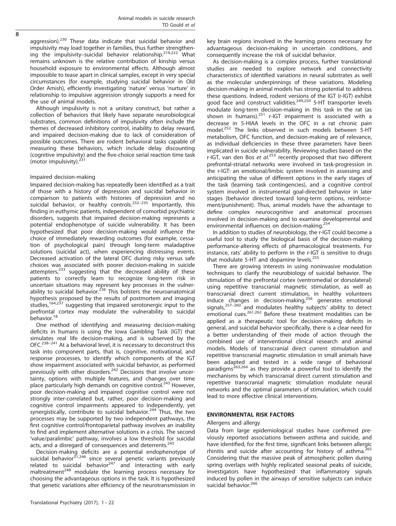aggression).<sup>230</sup> These data indicate that suicidal behavior and impulsivity may load together in families, thus further strengthening the impulsivity–suicidal behavior relationship.<sup>219,222</sup> What remains unknown is the relative contribution of kinship versus household exposure to environmental effects. Although almost impossible to tease apart in clinical samples, except in very special circumstances (for example, studying suicidal behavior in Old Order Amish), efficiently investigating 'nature' versus 'nurture' in relationship to impulsive aggression strongly supports a need for the use of animal models.

Although impulsivity is not a unitary construct, but rather a collection of behaviors that likely have separate neurobiological substrates, common definitions of impulsivity often include the themes of decreased inhibitory control, inability to delay reward, and impaired decision-making due to lack of consideration of possible outcomes. There are rodent behavioral tasks capable of measuring these behaviors, which include delay discounting (cognitive impulsivity) and the five-choice serial reaction time task (motor impulsivity). $<sup>2</sup>$ </sup>

## Impaired decision-making

Impaired decision-making has repeatedly been identified as a trait of those with a history of depression and suicidal behavior in comparison to patients with histories of depression and no suicidal behavior, or healthy controls.<sup>232–235</sup> Importantly, this finding in euthymic patients, independent of comorbid psychiatric disorders, suggests that impaired decision-making represents a potential endophenotype of suicide vulnerability. It has been hypothesized that poor decision-making would influence the choice of immediately rewarding outcomes (for example, cessation of psychological pain) through long-term maladaptive solutions (suicidal act), when experiencing distressing events. Decreased activation of the lateral OFC during risky versus safe choices was associated with poorer decision-making in suicide attempters, $233$  suggesting that the decreased ability of these patients to correctly learn to recognize long-term risk in uncertain situations may represent key processes in the vulner-<br>ability to suicidal behavior.<sup>236</sup> This bolsters the neuroanatomical hypothesis proposed by the results of postmortem and imaging studies,<sup>164,237</sup> suggesting that impaired serotonergic input to the prefrontal cortex may modulate the vulnerability to suicidal<br>behavior.<sup>18</sup>

One method of identifying and measuring decision-making deficits in humans is using the Iowa Gambling Task (IGT) that simulates real life decision-making, and is subserved by the OFC. $^{238-241}$  At a behavioral level, it is necessary to deconstruct this task into component parts, that is, cognitive, motivational, and response processes, to identify which components of the IGT show impairment associated with suicidal behavior, as performed previously with other disorders.<sup>242</sup> Decisions that involve uncertainty, options with multiple features, and changes over time place particularly high demands on cognitive control.<sup>243</sup> However, poor decision-making and impaired cognitive control were not strongly inter-correlated but, rather, poor decision-making and cognitive control impairments appeared to independently, yet synergistically, contribute to suicidal behavior.<sup>244</sup> Thus, the two processes may be supported by two independent pathways, the first cognitive control/frontoparietal pathway involves an inability to find and implement alternative solutions in a crisis. The second 'value/paralimbic' pathway, involves a low threshold for suicidal acts, and a disregard of consequences and deterrents.<sup>245</sup>

Decision-making deficits are a potential endophenotype of suicidal behavior $^{31,246}$  since several genetic variants previously related to suicidal behavior<sup>247</sup> and interacting with early maltreatment $248$  modulate the learning process necessary for choosing the advantageous options in the task. It is hypothesized that genetic variations alter efficiency of the neurotransmission in key brain regions involved in the learning process necessary for advantageous decision-making in uncertain conditions, and consequently increase the risk of suicidal behavior.

As decision-making is a complex process, further translational studies are needed to explore network and connectivity characteristics of identified variations in neural substrates as well as the molecular underpinnings of these variations. Modeling decision-making in animal models has strong potential to address these questions. Indeed, rodent versions of the IGT (r-IGT) exhibit good face and construct validities.<sup>249,250</sup> 5-HT transporter levels modulate long-term decision-making in this task in the rat (as shown in humans). $251$  r-IGT impairment is associated with a decrease in 5-HIAA levels in the OFC in a rat chronic pain model.<sup>252</sup> The links observed in such models between 5-HT metabolism, OFC function, and decision-making are of relevance, as individual deficiencies in these three parameters have been implicated in suicide vulnerability. Reviewing studies based on the r-IGT, van den Bos et  $al.^{253}$  recently proposed that two different prefrontal-striatal networks were involved in task-progression in the r-IGT: an emotional/limbic system involved in assessing and anticipating the value of different options in the early stages of the task (learning task contingencies), and a cognitive control system involved in instrumental goal-directed behavior in later stages (behavior directed toward long-term options, reinforcement/punishment). Thus, animal models have the advantage to define complex neurocognitive and anatomical processes involved in decision-making and to examine developmental and environmental influences on decision-making.<sup>254</sup>

In addition to studies of neurobiology, the r-IGT could become a useful tool to study the biological basis of the decision-making performance-altering effects of pharmacological treatments. For instance, rats' ability to perform in the r-IGT is sensitive to drugs that modulate 5-HT and dopamine levels. $255$ 

There are growing interests in using noninvasive modulation techniques to clarify the neurobiology of suicidal behavior. The stimulation of the prefrontal cortex (ventromedial or dorsolateral) using repetitive transcranial magnetic stimulation, as well as transcranial direct current stimulation, in healthy volunteers induce changes in decision-making, $256$  generates emotional signals,<sup>257-260</sup> and modulates healthy subjects' ability to detect emotional cues.<sup>261,262</sup> Before these treatment modalities can be applied as a therapeutic tool for decision-making deficits in general, and suicidal behavior specifically, there is a clear need for a better understanding of their mode of action through the combined use of interventional clinical research and animal models. Models of transcranial direct current stimulation and repetitive transcranial magnetic stimulation in small animals have been adapted and tested in a wide range of behavioral paradigms<sup>263,264</sup> as they provide a powerful tool to identify the mechanisms by which transcranial direct current stimulation and repetitive transcranial magnetic stimulation modulate neural networks and the optimal parameters of stimulation, which could lead to more effective clinical interventions.

## ENVIRONMENTAL RISK FACTORS

#### Allergens and allergy

Data from large epidemiological studies have confirmed previously reported associations between asthma and suicide, and have identified, for the first time, significant links between allergic rhinitis and suicide after accounting for history of asthma.<sup>265</sup> Considering that the massive peak of atmospheric pollen during spring overlaps with highly replicated seasonal peaks of suicide, investigators have hypothesized that inflammatory signals induced by pollen in the airways of sensitive subjects can induce suicidal behavior.<sup>266</sup>

 $\overline{8}$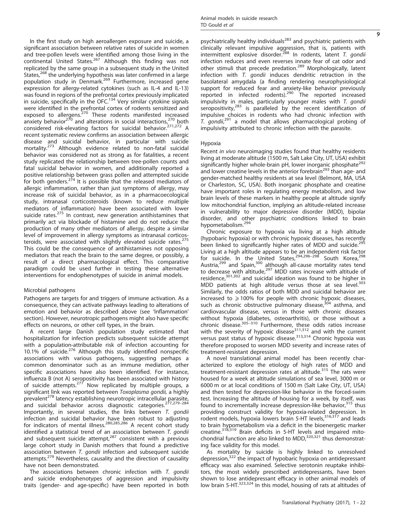In the first study on high aeroallergen exposure and suicide, a significant association between relative rates of suicide in women and tree-pollen levels were identified among those living in the continental United States.<sup>267</sup> Although this finding was not replicated by the same group in a subsequent study in the United States,<sup>268</sup> the underlying hypothesis was later confirmed in a large population study in Denmark.<sup>269</sup> Furthermore, increased gene expression for allergy-related cytokines (such as IL-4 and IL-13) was found in regions of the prefrontal cortex previously implicated in suicide, specifically in the OFC.<sup>134</sup> Very similar cytokine signals were identified in the prefrontal cortex of rodents sensitized and exposed to allergens.<sup>270</sup> These rodents manifested increased anxiety behavior<sup>270</sup> and alterations in social interactions,<sup>270</sup> both considered risk-elevating factors for suicidal behavior.271,272 A recent systematic review confirms an association between allergic disease and suicidal behavior, in particular with suicide mortality.<sup>273</sup> Although evidence related to non-fatal suicidal behavior was considered not as strong as for fatalities, a recent study replicated the relationship between tree-pollen counts and fatal suicidal behavior in women, and additionally reported a positive relationship between grass pollen and attempted suicide for both genders.<sup>274</sup> It is possible that the released mediators of allergic inflammation, rather than just symptoms of allergy, may increase risk of suicidal behavior, as in a pharmacoecological study, intranasal corticosteroids (known to reduce multiple mediators of inflammation) have been associated with lower suicide rates.<sup>275</sup> In contrast, new generation antihistamines that primarily act via blockade of histamine and do not reduce the production of many other mediators of allergy, despite a similar level of improvement in allergy symptoms as intranasal corticosteroids, were associated with slightly elevated suicide rates.<sup>275</sup> This could be the consequence of antihistamines not opposing mediators that reach the brain to the same degree, or possibly, a result of a direct pharmacological effect. This comparative paradigm could be used further in testing these alternative interventions for endophenotypes of suicide in animal models.

## Microbial pathogens

Pathogens are targets for and triggers of immune activation. As a consequence, they can activate pathways leading to alterations of emotion and behavior as described above (see 'Inflammation' section). However, neurotropic pathogens might also have specific effects on neurons, or other cell types, in the brain.

A recent large Danish population study estimated that hospitalization for infection predicts subsequent suicide attempt with a population-attributable risk of infection accounting for 10.1% of suicide.<sup>276</sup> Although this study identified nonspecific associations with various pathogens, suggesting perhaps a common denominator such as an immune mediation, other specific associations have also been identified. For instance, influenza B (not A) seropositivity has been associated with history of suicide attempts.<sup>277</sup> Now replicated by multiple groups, a significant link was reported between Toxoplasma gondii, a highly prevalent<sup>278</sup> latency establishing neurotropic intracellular parasite, and suicidal behavior across diagnostic categories.<sup>277,279–284</sup> Importantly, in several studies, the links between T. gondii infection and suicidal behavior have been robust to adjusting for indicators of mental illness.280,285,286 A recent cohort study identified a statistical trend of an association between T. gondii and subsequent suicide attempt, $287$  consistent with a previous large cohort study in Danish mothers that found a predictive association between T. gondii infection and subsequent suicide attempts.<sup>279</sup> Nevertheless, causality and the direction of causality have not been demonstrated.

The associations between chronic infection with T. gondii and suicide endophenotypes of aggression and impulsivity traits (gender- and age-specific) have been reported in both psychiatrically healthy individuals<sup>283</sup> and psychiatric patients with clinically relevant impulsive aggression, that is, patients with intermittent explosive disorder.<sup>288</sup> In rodents, latent T. gondii infection reduces and even reverses innate fear of cat odor and other stimuli that precede predation.<sup>289</sup> Morphologically, latent infection with T. gondii induces dendritic retraction in the basolateral amygdala (a finding rendering neurophysiological support for reduced fear and anxiety-like behavior previously<br>reported in infected rodents).<sup>290</sup> The reported increased impulsivity in males, particularly younger males with  $T$ . gondii seropositivity, $283$  is paralleled by the recent identification of impulsive choices in rodents who had chronic infection with  $T.$  gondii,<sup>291</sup> a model that allows pharmacological probing of impulsivity attributed to chronic infection with the parasite.

## Hypoxia

Recent in vivo neuroimaging studies found that healthy residents living at moderate altitude (1500 m, Salt Lake City, UT, USA) exhibit significantly higher whole-brain pH, lower inorganic phosphate<sup>292</sup> and lower creatine levels in the anterior forebrain<sup>293</sup> than age- and gender-matched healthy residents at sea level (Belmont, MA, USA or Charleston, SC, USA). Both inorganic phosphate and creatine have important roles in regulating energy metabolism, and low brain levels of these markers in healthy people at altitude signify low mitochondrial function, implying an altitude-related increase in vulnerability to major depressive disorder (MDD), bipolar disorder, and other psychiatric conditions linked to brain hypometabolism.<sup>294</sup>

Chronic exposure to hypoxia via living at a high altitude (hypobaric hypoxia) or with chronic hypoxic diseases, has recently been linked to significantly higher rates of MDD and suicide.<sup>295</sup> Living at a high altitude appears to be an independent risk factor for suicide. In the United States,  $294,296-298$  South Korea,  $298$ Austria,<sup>299</sup> and Spain,<sup>300</sup> although all-cause mortality rates tend to decrease with altitude,<sup>297</sup> MDD rates increase with altitude of residence,<sup>301,302</sup> and suicidal ideation was found to be higher in MDD patients at high altitude versus those at sea level.<sup>303</sup> Similarly, the odds ratios of both MDD and suicidal behavior are increased to  $\geq 100\%$  for people with chronic hypoxic diseases, such as chronic obstructive pulmonary disease,  $304$  asthma, and cardiovascular disease, versus in those with chronic diseases without hypoxia (diabetes, osteoarthritis), or those without a chronic disease.305–<sup>310</sup> Furthermore, these odds ratios increase with the severity of hypoxic disease<sup>311,312</sup> and with the current versus past status of hypoxic disease.<sup>313,314</sup> Chronic hypoxia was therefore proposed to worsen MDD severity and increase rates of treatment-resistant depression.

A novel translational animal model has been recently characterized to explore the etiology of high rates of MDD and treatment-resistant depression rates at altitude.<sup>315</sup> The rats were housed for a week at altitude simulations of sea level, 3000 m or 6000 m or at local conditions of 1500 m (Salt Lake City, UT, USA) and then tested for depression-like behavior in the forced-swim test. Increasing the altitude of housing for a week, by itself, was found to incrementally increase depression-like behavior, $315$  thus providing construct validity for hypoxia-related depression. In rodent models, hypoxia lowers brain 5-HT levels,<sup>316,317</sup> and leads to brain hypometabolism via a deficit in the bioenergetic marker creatine.<sup>318,319</sup> Brain deficits in 5-HT levels and impaired mitochondrial function are also linked to MDD, $320,321$  thus demonstrating face validity for this model.

As mortality by suicide is highly linked to unresolved depression,322 the impact of hypobaric hypoxia on antidepressant efficacy was also examined. Selective serotonin reuptake inhibitors, the most widely prescribed antidepressants, have been shown to lose antidepressant efficacy in other animal models of low brain 5-HT.<sup>323,324</sup> In this model, housing of rats at altitudes of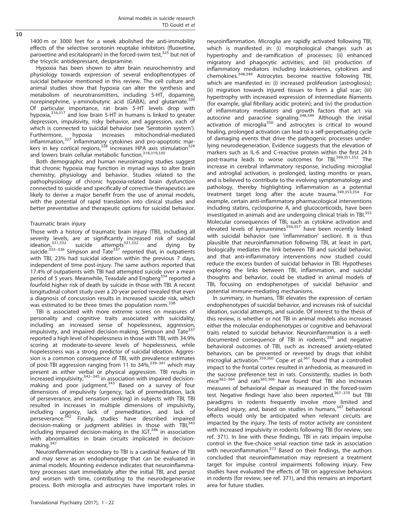1400 m or 3000 feet for a week abolished the anti-immobility effects of the selective serotonin reuptake inhibitors (fluoxetine, paroxetine and escitalopram) in the forced-swim test,<sup>325</sup> but not of the tricyclic antidepressant, desipramine.

Hypoxia has been shown to alter brain neurochemistry and physiology towards expression of several endophenotypes of suicidal behavior mentioned in this review. The cell culture and animal studies show that hypoxia can alter the synthesis and metabolism of neurotransmitters, including 5-HT, dopamine, norepinephrine, γ-aminobutyric acid (GABA), and glutamate.<sup>326</sup> Of particular importance, rat brain 5-HT levels drop with hypoxia,316,317 and low brain 5-HT in humans is linked to greater depression, impulsivity, risky behavior, and aggression, each of which is connected to suicidal behavior (see 'Serotonin system'). Furthermore, hypoxia increases mitochondrial-mediated inflammation,<sup>327</sup> inflammatory cytokines and pro-apoptotic markers in key cortical regions,<sup>328</sup> increases HPA axis stimulation<sup>329</sup> and lowers brain cellular metabolic function.<sup>318,319,330</sup>

Both demographic and human neuroimaging studies suggest that chronic hypoxia may function in myriad ways to alter brain chemistry, physiology and behavior. Studies related to the pathophysiology of chronic hypoxia-related brain dysfunction connected to suicide and specifically of corrective therapeutics are likely to derive a major benefit from the use of animal models, with the potential of rapid translation into clinical studies and better preventative and therapeutic options for suicidal behavior.

# Traumatic brain injury

Those with a history of traumatic brain injury (TBI), including all severity levels, are at significantly increased risk of suicidal ideation, $331,332$  suicide attempts<sup>331,332</sup> and dying by suicide. $333-336$  Simpson and Tate $337$  reported that, in outpatients with TBI, 23% had suicidal ideation within the previous 7 days, independent of time post-injury. The same authors reported that 17.4% of outpatients with TBI had attempted suicide over a mean period of 5 years. Meanwhile, Teasdale and Engberg<sup>334</sup> reported a fourfold higher risk of death by suicide in those with TBI. A recent longitudinal cohort study over a 20-year period revealed that even a diagnosis of concussion results in increased suicide risk, which was estimated to be three times the population norm.<sup>338</sup>

TBI is associated with more extreme scores on measures of personality and cognitive traits associated with suicidality, including an increased sense of hopelessness, aggression, impulsivity, and impaired decision-making. Simpson and Tate<sup>337</sup> reported a high level of hopelessness in those with TBI, with 34.9% scoring at moderate-to-severe levels of hopelessness, while hopelessness was a strong predictor of suicidal ideation. Aggression is a common consequence of TBI, with prevalence estimates of post-TBI aggression ranging from 11 to  $34\%$ ,  $339-341$  which may present as either verbal or physical aggression. TBI results in increased impulsivity,<sup>342–345</sup> in association with impaired decisionmaking and poor judgment.<sup>343</sup> Based on a survey of four dimensions of impulsivity (urgency, lack of premeditation, lack of perseverance, and sensation seeking) in subjects with TBI, TBI resulted in increases in multiple dimensions of impulsivity, including urgency, lack of premeditation, and lack of perseverance.<sup>342</sup> Finally, studies have described impaired decision-making or judgment abilities in those with  $TBI<sub>7</sub><sup>343</sup>$ including impaired decision-making in the IGT,<sup>346</sup> in association with abnormalities in brain circuits implicated in decisionmaking.<sup>347</sup>

Neuroinflammation secondary to TBI is a cardinal feature of TBI and may serve as an endophenotype that can be evaluated in animal models. Mounting evidence indicates that neuroinflammatory processes start immediately after the initial TBI, and persist and worsen with time, contributing to the neurodegenerative process. Both microglia and astrocytes have important roles in inflammatory mediators including leukotrienes, cytokines and chemokines.348,349 Astrocytes become reactive following TBI, which are manifested in: (i) increased proliferation (astrogliosis); (ii) migration towards injured tissues to form a glial scar; (iii) hypertrophy with increased expression of intermediate filaments (for example, glial fibrillary acidic protein); and (iv) the production of inflammatory mediators and growth factors that act via autocrine and paracrine signaling.348,349 Although the initial activation of microglia<sup>350</sup> and astrocytes is critical to wound healing, prolonged activation can lead to a self-perpetuating cycle of damaging events that drive the pathogenic processes underlying neurodegeneration. Evidence suggests that the elevation of markers such as IL-6 and C-reactive protein within the first 24 h post-trauma leads to worse outcomes for TBI.<sup>349,351,352</sup> The increase in cerebral inflammatory response, including microglial and astroglial activation, is prolonged, lasting months or years, and is believed to contribute to the evolving symptomatology and pathology, thereby highlighting inflammation as a potential treatment target long after the acute trauma.349,353,354 For example, certain anti-inflammatory pharmacological interventions including statins, cyclosporine A, and glucocorticoids, have been investigated in animals and are undergoing clinical trials in TBI.<sup>355</sup> Molecular consequences of TBI, such as cytokine activation and elevated levels of kynurenines<sup>356,357</sup> have been recently linked with suicidal behavior (see 'inflammation' section). It is thus plausible that neuroinflammation following TBI, at least in part, biologically mediates the link between TBI and suicidal behavior, and that anti-inflammatory interventions now studied could reduce the excess burden of suicidal behavior in TBI. Hypotheses exploring the links between TBI, inflammation, and suicidal thoughts and behavior, could be studied in animal models of TBI, focusing on endophenotypes of suicidal behavior and

potential immune-mediating mechanisms.

neuroinflammation. Microglia are rapidly activated following TBI, which is manifested in: (i) morphological changes such as hypertrophy and de-ramification of processes; (ii) enhanced migratory and phagocytic activities; and (iii) production of

In summary, in humans, TBI elevates the expression of certain endophenotypes of suicidal behavior, and increases risk of suicidal ideation, suicidal attempts, and suicide. Of interest to the thesis of this review, is whether or not TBI in animal models also increases either the molecular endophenotypes or cognitive and behavioral traits related to suicidal behavior. Neuroinflammation is a welldocumented consequence of TBI in rodents, $358$  and negative behavioral outcomes of TBI, such as increased anxiety-related behaviors, can be prevented or reversed by drugs that inhibit microglial activation.<sup>359,360</sup> Cope et al.<sup>361</sup> found that a controlled impact to the frontal cortex resulted in anhedonia, as measured in the sucrose preference test in rats. Consistently, studies in both<br>mice<sup>362–364</sup> and rats<sup>365,366</sup> have found that TBI also increases measures of behavioral despair as measured in the forced-swim test. Negative findings have also been reported, $367-370$  but TBI paradigms in rodents frequently involve more limited and localized injury, and, based on studies in humans, $347$  behavioral effects would only be anticipated when relevant circuits are impacted by the injury. The tests of motor activity are consistent with increased impulsivity in rodents following TBI (for review, see ref. 371). In line with these findings, TBI in rats impairs impulse control in the five-choice serial reaction time task in association with neuroinflammation. $372$  Based on their findings, the authors concluded that neuroinflammation may represent a treatment target for impulse control impairments following injury. Few studies have evaluated the effects of TBI on aggressive behaviors in rodents (for review, see ref. 371), and this remains an important area for future studies.

 $\overline{10}$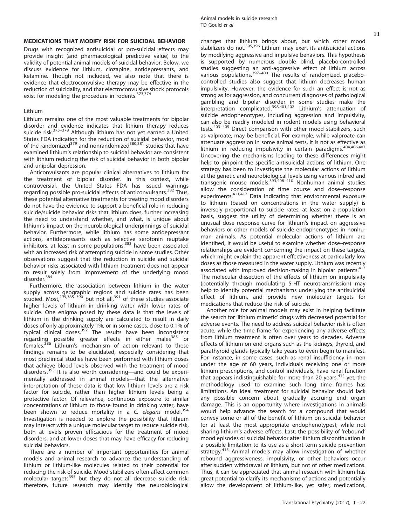## MEDICATIONS THAT MODIFY RISK FOR SUICIDAL BEHAVIOR

Drugs with recognized antisuicidal or pro-suicidal effects may provide insight (and pharmacological predictive value) to the validity of potential animal models of suicidal behavior. Below, we discuss evidence for lithium, clozapine, antidepressants, and ketamine. Though not included, we also note that there is evidence that electroconvulsive therapy may be effective in the reduction of suicidality, and that electroconvulsive shock protocols exist for modeling the procedure in rodents.<sup>373,374</sup>

## Lithium

Lithium remains one of the most valuable treatments for bipolar disorder and evidence indicates that lithium therapy reduces suicide risk.<sup>375–378</sup> Although lithium has not yet earned a United States FDA indication for the reduction of suicidal behavior, most of the randomized<sup>379</sup> and nonrandomized<sup>380,381</sup> studies that have examined lithium's relationship to suicidal behavior are consistent with lithium reducing the risk of suicidal behavior in both bipolar and unipolar depression.

Anticonvulsants are popular clinical alternatives to lithium for the treatment of bipolar disorder. In this context, while controversial, the United States FDA has issued warnings regarding possible pro-suicidal effects of anticonvulsants.<sup>382</sup> Thus, these potential alternative treatments for treating mood disorders do not have the evidence to support a beneficial role in reducing suicide/suicide behavior risks that lithium does, further increasing the need to understand whether, and what, is unique about lithium's impact on the neurobiological underpinnings of suicidal behavior. Furthermore, while lithium has some antidepressant actions, antidepressants such as selective serotonin reuptake inhibitors, at least in some populations,<sup>383</sup> have been associated with an increased risk of attempting suicide in some studies. Other observations suggest that the reduction in suicide and suicidal behavior risks associated with lithium treatment does not appear to result solely from improvement of the underlying mood disorder.384

Furthermore, the association between lithium in the water supply across geographic regions and suicide rates has been<br>studied. Most,<sup>299,385–390</sup> but not all,<sup>391</sup> of these studies associate higher levels of lithium in drinking water with lower rates of suicide. One enigma posed by these data is that the levels of lithium in the drinking supply are calculated to result in daily doses of only approximately 1%, or in some cases, close to 0.1% of typical clinical doses.<sup>392</sup> The results have been inconsistent regarding possible greater effects in either males<sup>385</sup> or females.<sup>386</sup> Lithium's mechanism of action relevant to these findings remains to be elucidated, especially considering that most preclinical studies have been performed with lithium doses that achieve blood levels observed with the treatment of mood disorders.<sup>393</sup> It is also worth considering—and could be experimentally addressed in animal models—that the alternative interpretation of these data is that low lithium levels are a risk factor for suicide, rather than higher lithium levels being a protective factor. Of relevance, continuous exposure to similar concentrations of lithium to those found in drinking water, have been shown to reduce mortality in a C. elegans model.<sup>394</sup> Investigation is needed to explore the possibility that lithium may interact with a unique molecular target to reduce suicide risk, both at levels proven efficacious for the treatment of mood disorders, and at lower doses that may have efficacy for reducing suicidal behaviors.

There are a number of important opportunities for animal models and animal research to advance the understanding of lithium or lithium-like molecules related to their potential for reducing the risk of suicide. Mood stabilizers often affect common molecular targets<sup>395</sup> but they do not all decrease suicide risk; therefore, future research may identify the neurobiological 11

changes that lithium brings about, but which other mood stabilizers do not.<sup>395,396</sup> Lithium may exert its antisuicidal actions by modifying aggressive and impulsive behaviors. This hypothesis is supported by numerous double blind, placebo-controlled studies suggesting an anti-aggressive effect of lithium across<br>various populations.<sup>397–400</sup> The results of randomized, placebocontrolled studies also suggest that lithium decreases human impulsivity. However, the evidence for such an effect is not as strong as for aggression, and concurrent diagnoses of pathological gambling and bipolar disorder in some studies make the<br>interpretation complicated.<sup>398,401,402</sup> Lithium's attenuation of suicide endophenotypes, including aggression and impulsivity, can also be readily modeled in rodent models using behavioral tests.403–<sup>405</sup> Direct comparison with other mood stabilizers, such as valproate, may be beneficial. For example, while valproate can attenuate aggression in some animal tests, it is not as effective as lithium in reducing impulsivity in certain paradigms. $404,406,407$ Uncovering the mechanisms leading to these differences might help to pinpoint the specific antisuicidal actions of lithium. One strategy has been to investigate the molecular actions of lithium at the genetic and neurobiological levels using various inbred and<br>transgenic mouse models.<sup>393,408–410</sup> Nonhuman animal studies allow the consideration of time course and dose–response experiments.<sup>411,412</sup> Data indicating that environmental exposure to lithium (based on concentrations in the water supply) is inversely proportional to suicide rates, at least on a population basis, suggest the utility of determining whether there is an unusual dose response curve for lithium's impact on aggressive behaviors or other models of suicide endophenotypes in nonhuman animals. As potential molecular actions of lithium are identified, it would be useful to examine whether dose–response relationships are evident concerning the impact on these targets, which might explain the apparent effectiveness at particularly low doses as those measured in the water supply. Lithium was recently associated with improved decision-making in bipolar patients.<sup>413</sup> The molecular dissection of the effects of lithium on impulsivity (potentially through modulating 5-HT neurotransmission) may help to identify potential mechanisms underlying the antisuicidal effect of lithium, and provide new molecular targets for medications that reduce the risk of suicide.

Another role for animal models may exist in helping facilitate the search for 'lithium mimetic' drugs with decreased potential for adverse events. The need to address suicidal behavior risk is often acute, while the time frame for experiencing any adverse effects from lithium treatment is often over years to decades. Adverse effects of lithium on end organs such as the kidneys, thyroid, and parathyroid glands typically take years to even begin to manifest. For instance, in some cases, such as renal insufficiency in men under the age of 60 years, individuals receiving one or more lithium prescriptions, and control individuals, have renal function that appears indistinguishable for more than 20 years,<sup>414</sup> yet, the methodology used to examine such long time frames has limitations. An ideal treatment for suicidal behavior should lack any possible concern about gradually accruing end organ damage. This is an opportunity where investigations in animals would help advance the search for a compound that would convey some or all of the benefit of lithium on suicidal behavior (or at least the most appropriate endophenotypes), while not sharing lithium's adverse effects. Last, the possibility of 'rebound' mood episodes or suicidal behavior after lithium discontinuation is a possible limitation to its use as a short-term suicide prevention strategy.<sup>415</sup> Animal models may allow investigation of whether rebound aggressiveness, impulsivity, or other behaviors occur after sudden withdrawal of lithium, but not of other medications. Thus, it can be appreciated that animal research with lithium has great potential to clarify its mechanisms of actions and potentially allow the development of lithium-like, yet safer, medications,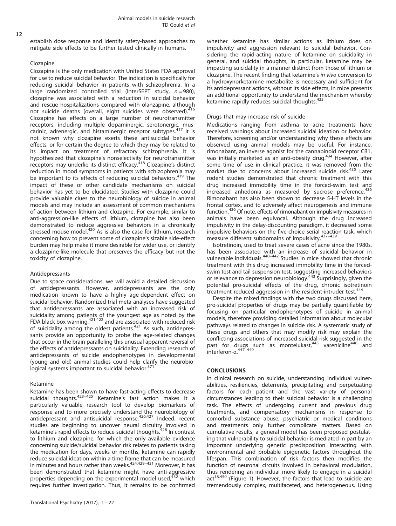$\overline{12}$ 

establish dose response and identify safety-based approaches to mitigate side effects to be further tested clinically in humans.

## Clozapine

Clozapine is the only medication with United States FDA approval for use to reduce suicidal behavior. The indication is specifically for reducing suicidal behavior in patients with schizophrenia. In a large randomized controlled trial (InterSEPT study,  $n = 980$ ), clozapine was associated with a reduction in suicidal behavior and rescue hospitalizations compared with olanzapine, although not suicide deaths (overall, eight suicides were observed).<sup>416</sup> Clozapine has effects on a large number of neurotransmitter receptors, including multiple dopaminergic, serotonergic, muscarinic, adrenergic, and histaminergic receptor subtypes.<sup>417</sup> It is not known why clozapine exerts these antisuicidal behavior effects, or for certain the degree to which they may be related to its impact on treatment of refractory schizophrenia. It is hypothesized that clozapine's nonselectivity for neurotransmitter receptors may underlie its distinct efficacy.<sup>418</sup> Clozapine's distinct reduction in mood symptoms in patients with schizophrenia may be important to its effects of reducing suicidal behaviors.<sup>419</sup> The impact of these or other candidate mechanisms on suicidal behavior has yet to be elucidated. Studies with clozapine could provide valuable clues to the neurobiology of suicide in animal models and may include an assessment of common mechanisms of action between lithium and clozapine. For example, similar to anti-aggression-like effects of lithium, clozapine has also been demonstrated to reduce aggressive behaviors in a chronically<br>stressed mouse model.<sup>420</sup> As is also the case for lithium, research concerning how to prevent some of clozapine's sizable side-effect burden may help make it more desirable for wider use, or identify a clozapine-like molecule that preserves the efficacy but not the toxicity of clozapine.

## Antidepressants

Due to space considerations, we will avoid a detailed discussion of antidepressants. However, antidepressants are the only medication known to have a highly age-dependent effect on suicidal behavior. Randomized trial meta-analyses have suggested that antidepressants are associated with an increased risk of suicidality among patients of the youngest age as noted by the FDA black box warning, $421,422$  and are associated with reduced risk of suicidality among the oldest patients.<sup>421</sup> As such, antidepressants provide an opportunity to probe the age-related changes that occur in the brain paralleling this unusual apparent reversal of the effects of antidepressants on suicidality. Extending research of antidepressants of suicide endophenotypes in developmental (young and old) animal studies could help clarify the neurobiological systems important to suicidal behavior. $3$ 

## Ketamine

Ketamine has been shown to have fast-acting effects to decrease suicidal thoughts.<sup>423-425</sup> Ketamine's fast action makes it a particularly valuable research tool to develop biomarkers of response and to more precisely understand the neurobiology of antidepressant and antisuicidal response.<sup>426,427</sup> Indeed, recent studies are beginning to uncover neural circuitry involved in<br>ketamine's rapid effects to reduce suicidal thoughts.<sup>428</sup> In contrast to lithium and clozapine, for which the only available evidence concerning suicide/suicidal behavior risk relates to patients taking the medication for days, weeks or months, ketamine can rapidly reduce suicidal ideation within a time frame that can be measured in minutes and hours rather than weeks.<sup>424,429-431</sup> Moreover, it has been demonstrated that ketamine might have anti-aggressive properties depending on the experimental model used, $432$  which requires further investigation. Thus, it remains to be confirmed

whether ketamine has similar actions as lithium does on impulsivity and aggression relevant to suicidal behavior. Considering the rapid-acting nature of ketamine on suicidality in general, and suicidal thoughts, in particular, ketamine may be impacting suicidality in a manner distinct from those of lithium or clozapine. The recent finding that ketamine's in vivo conversion to a hydroxynorketamine metabolite is necessary and sufficient for its antidepressant actions, without its side effects, in mice presents an additional opportunity to understand the mechanism whereby ketamine rapidly reduces suicidal thoughts.<sup>433</sup>

## Drugs that may increase risk of suicide

Medications ranging from asthma to acne treatments have received warnings about increased suicidal ideation or behavior. Therefore, screening and/or understanding why these effects are observed using animal models may be useful. For instance, rimonabant, an inverse agonist for the cannabinoid receptor CB1, was initially marketed as an anti-obesity drug.<sup>434</sup> However, after some time of use in clinical practice, it was removed from the market due to concerns about increased suicide risk.<sup>435</sup> Later rodent studies demonstrated that chronic treatment with this drug increased immobility time in the forced-swim test and increased anhedonia as measured by sucrose preference.<sup>436</sup> Rimonabant has also been shown to decrease 5-HT levels in the frontal cortex, and to adversely affect neurogenesis and immune function.<sup>436</sup> Of note, effects of rimonabant on impulsivity measures in animals have been equivocal. Although the drug increased impulsivity in the delay-discounting paradigm, it decreased some impulsive behaviors on the five-choice serial reaction task, which measure different subdomains of impulsivity.<sup>437-439</sup>

Isotretinoin, used to treat severe cases of acne since the 1980s, has been associated with an increase of suicidal behavior in vulnerable individuals.440–<sup>442</sup> Studies in mice showed that chronic treatment with this drug increased immobility time in the forcedswim test and tail suspension test, suggesting increased behaviors or relevance to depression neurobiology.<sup>443</sup> Surprisingly, given the potential pro-suicidal effects of the drug, chronic isotretinoin treatment reduced aggression in the resident-intruder test.<sup>44</sup>

Despite the mixed findings with the two drugs discussed here, pro-suicidal properties of drugs may be partially quantifiable by focusing on particular endophenotypes of suicide in animal models, therefore providing detailed information about molecular pathways related to changes in suicide risk. A systematic study of these drugs and others that may modify risk may explain the conflicting associations of increased suicidal risk suggested in the past for drugs such as montelukast,<sup>445</sup> varenicline<sup>446</sup> and interferon-α.<sup>447</sup>

## **CONCLUSIONS**

In clinical research on suicide, understanding individual vulnerabilities, resiliencies, deterrents, precipitating and perpetuating factors for each patient and the vast variety of personal circumstances leading to their suicidal behavior is a challenging task. The effects of undergoing current and previous drug treatments, and compensatory mechanisms in response to comorbid substance abuse, psychiatric or medical conditions and treatments only further complicate matters. Based on cumulative results, a general model has been proposed postulating that vulnerability to suicidal behavior is mediated in part by an important underlying genetic predisposition interacting with environmental and probable epigenetic factors throughout the lifespan. This combination of risk factors then modifies the function of neuronal circuits involved in behavioral modulation, thus rendering an individual more likely to engage in a suicidal  $act^{18,450}$  (Figure 1). However, the factors that lead to suicide are tremendously complex, multifaceted, and heterogeneous. Using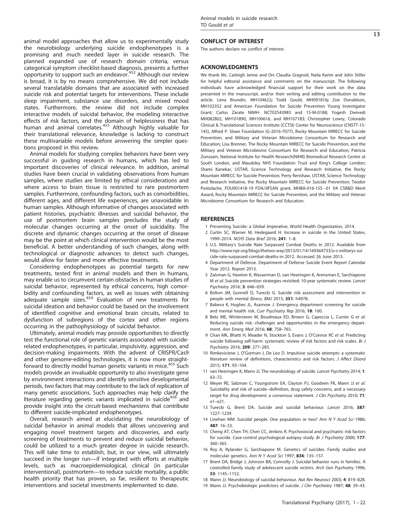animal model approaches that allow us to experimentally study the neurobiology underlying suicide endophenotypes is a promising and much needed layer in suicide research. The planned expanded use of research domain criteria, versus categorical symptom checklist-based diagnosis, presents a further opportunity to support such an endeavor.<sup>452</sup> Although our review is broad, it is by no means comprehensive. We did not include several translatable domains that are associated with increased suicide risk and potential targets for interventions. These include sleep impairment, substance use disorders, and mixed mood states. Furthermore, the review did not include complex interactive models of suicidal behavior, the modeling interactive effects of risk factors, and the domain of helplessness that has human and animal correlates.<sup>453</sup> Although highly valuable for their translational relevance, knowledge is lacking to construct these multivariable models before answering the simpler questions proposed in this review.

Animal models for studying complex behaviors have been very successful in guiding research in humans, which has led to important discoveries of clinical relevance. In addition, animal studies have been crucial in validating observations from human samples, where studies are limited by ethical considerations and where access to brain tissue is restricted to rare postmortem samples. Furthermore, confounding factors, such as comorbidities, different ages, and different life experiences, are unavoidable in human samples. Although informative of changes associated with patient histories, psychiatric illnesses and suicidal behavior, the use of postmortem brain samples precludes the study of molecular changes occurring at the onset of suicidality. The discrete and dynamic changes occurring at the onset of disease may be the point at which clinical intervention would be the most beneficial. A better understanding of such changes, along with technological or diagnostic advances to detect such changes, would allow for faster and more effective treatments.

Considering endophenotypes as potential targets for new treatments, tested first in animal models and then in humans, may enable us to circumvent certain obstacles in human studies of suicidal behavior, represented by ethical concerns, high comorbidity and confounding factors, as well as issues with obtaining adequate sample sizes.<sup>454</sup> Evaluation of new treatments for suicidal ideation and behavior could be based on the involvement of identified cognitive and emotional brain circuits, related to dysfunction of subregions of the cortex and other regions occurring in the pathophysiology of suicidal behavior.

Ultimately, animal models may provide opportunities to directly test the functional role of genetic variants associated with suiciderelated endophenotypes, in particular, impulsivity, aggression, and decision-making impairments. With the advent of CRISPR/Cas9 and other genome-editing technologies, it is now more straightforward to directly model human genetic variants in mice.<sup>455</sup> Such models provide an invaluable opportunity to also investigate gene by environment interactions and identify sensitive developmental periods, two factors that may contribute to the lack of replication of many genetic associations. Such approaches may help clarify the literature regarding genetic variants implicated in suicide<sup>456</sup> and provide insight into the circuit-based mechanisms that contribute to different suicide-implicated endophenotypes.

Overall, research aimed at elucidating the neurobiology of suicidal behavior in animal models that allows uncovering and engaging novel treatment targets and discoveries, and early screening of treatments to prevent and reduce suicidal behavior, could be utilized to a much greater degree in suicide research. This will take time to establish, but, in our view, will ultimately succeed in the longer run—if integrated with efforts at multiple levels, such as macroepidemiological, clinical (in particular interventional), postmortem—to reduce suicide mortality, a public health priority that has proven, so far, resilient to therapeutic interventions and societal investments implemented to date.

# CONFLICT OF INTEREST

The authors declare no conflict of interest.

## ACKNOWLEDGMENTS

We thank Ms. Carleigh Jenne and Drs Claudia Gragnoli, Naila Karim and John Stiller for helpful editorial assistance and comments on the manuscript. The following individuals have acknowledged financial support for their work on the data presented in the manuscript, and/or their writing and editing contribution to the article: Lena Brundin, MH104622; Todd Gould, MH091816; Zoe Donaldson, MH102352 and American Foundation for Suicide Prevention Young Investigator Grant; Carlos Zarate NIMH- NCT02543983 and 15-M-0188; Yogesh Dwivedi MH082802, MH101890, MH100616, and MH107183; Christopher Lowry, Colorado Clinical & Translational Sciences Institute (CCTSI) Center for Neuroscience (CNSTT-15- 145), Alfred P. Sloan Foundation (G-2016-7077), Rocky Mountain MIRECC for Suicide Prevention, and Military and Veteran Microbiome Consortium for Research and Education; Lisa Brenner, The Rocky Mountain MIRECC for Suicide Prevention, and the Military and Veteran Microbiome Consortium for Research and Education; Patricia Zunszain, National Institute for Health Research(NIHR) Biomedical Research Centre at South London, and Maudsley NHS Foundation Trust and King's College London; Shami Kanekar, USTAR, Science Technology and Research Initiative, the Rocky Mountain MIRECC for Suicide Prevention; Perry Renshaw, USTAR, Science Technology and Research Initiative, the Rocky Mountain MIRECC for Suicide Prevention; Teodor Postolache, FDU001418-19 FDA/JIFSAN grant, MHBA-016-15S -01 VA CSR&D Merit Award, Rocky Mountain MIRECC for Suicide Prevention, and the Military and Veteran Microbiome Consortium for Research and Education.

#### **REFERENCES**

- 1 Preventing Suicide: a Global Imperative, World Health Organization, 2014.
- 2 Curtin SC, Warner M, Hedegaard H. Increase in suicide in the United States, 1999–2014. NCHS Data Brief 2016; 241: 1–8.
- 3 U.S. Military's Suicide Rate Surpassed Combat Deaths In 2012. Available from [http://www.npr.org/blogs/thetwo-way/2013/01/14/169364733/u-s-militarys-sui](http://www.npr.org/blogs/thetwo-way/2013/01/14/169364733/u-s-militarys-suicide-rate-surpassed-combat-deaths-in-2012) [cide-rate-surpassed-combat-deaths-in-2012.](http://www.npr.org/blogs/thetwo-way/2013/01/14/169364733/u-s-militarys-suicide-rate-surpassed-combat-deaths-in-2012) Accessed 26 June 2013.
- 4 Department of Defense. Department of Defense Suicide Event Report Calendar Year 2012. Report 2013.
- 5 Zalsman G, Hawton K, Wasserman D, van Heeringen K, Arensman E, Sarchiapone M et al. Suicide prevention strategies revisited: 10-year systematic review. Lancet Psychiatry 2016; 3: 646–659.
- 6 Bolton JM, Gunnell D, Turecki G. Suicide risk assessment and intervention in people with mental illness. BMJ 2015; 351: h4978.
- 7 Babeva K, Hughes JL, Asarnow J. Emergency department screening for suicide and mental health risk. Curr Psychiatry Rep 2016; 18: 100.
- 8 Betz ME, Wintersteen M, Boudreaux ED, Brown G, Capoccia L, Currier G et al. Reducing suicide risk: challenges and opportunities in the emergency department. Ann Emerg Med 2016; 68: 758–765.
- 9 Chan MK, Bhatti H, Meader N, Stockton S, Evans J, O'Connor RC et al. Predicting suicide following self-harm: systematic review of risk factors and risk scales. Br J Psychiatry 2016; 209: 277–283.
- 10 Rimkeviciene J, O'Gorman J, De Leo D. Impulsive suicide attempts: a systematic literature review of definitions, characteristics and risk factors. J Affect Disord 2015; 171: 93–104.
- 11 van Heeringen K, Mann JJ. The neurobiology of suicide. Lancet Psychiatry 2014; 1: 63–72.
- 12 Meyer RE, Salzman C, Youngstrom EA, Clayton PJ, Goodwin FK, Mann JJ et al. Suicidality and risk of suicide--definition, drug safety concerns, and a necessary target for drug development: a consensus statement. J Clin Psychiatry 2010; 71: e1–e21.
- 13 Turecki G, Brent DA. Suicide and suicidal behaviour. Lancet 2016; 387: 1227–1239.
- 14 Linehan MM. Suicidal people. One population or two? Ann N Y Acad Sci 1986; 487: 16–33.
- 15 Cheng AT, Chen TH, Chen CC, Jenkins R. Psychosocial and psychiatric risk factors for suicide. Case-control psychological autopsy study. Br J Psychiatry 2000; 177: 360–365.
- 16 Roy A, Rylander G, Sarchiapone M. Genetics of suicides. Family studies and molecular genetics. Ann N Y Acad Sci 1997; 836: 135–157.
- 17 Brent DA, Bridge J, Johnson BA, Connolly J. Suicidal behavior runs in families. A controlled family study of adolescent suicide victims. Arch Gen Psychiatry 1996; 53: 1145–1152.
- 18 Mann JJ. Neurobiology of suicidal behaviour. Nat Rev Neurosci 2003; 4: 819–828.
- 19 Mann JJ. Psychobiologic predictors of suicide. J Clin Psychiatry 1987; 48: 39-43.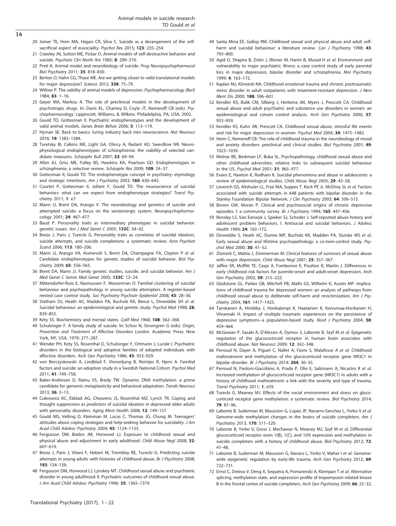- $\overline{14}$
- 20 Joiner TE, Hom MA, Hagan CR, Silva C. Suicide as a derangement of the selfsacrificial aspect of eusociality. Psychol Rev 2015; 123: 235–254.
- 21 Crawley JN, Sutton ME, Pickar D. Animal models of self-destructive behavior and suicide. Psychiatr Clin North Am 1985; 8: 299–310.
- 22 Preti A. Animal model and neurobiology of suicide. Prog Neuropsychopharmacol Biol Psychiatry 2011; 35: 818–830.
- 23 Berton O, Hahn CG, Thase ME. Are we getting closer to valid translational models for major depression? Science 2012; 338: 75–79.
- 24 Willner P. The validity of animal models of depression. Psychopharmacology (Berl) 1984; 83: 1–16.
- 25 Geyer MA, Markou A. The role of preclinical models in the development of psychotropic drugs. In: Davis KL, Charney D, Coyle JT, Nemeroff CB (eds). Psychopharmacology. Lippincott, Williams, & Wilkins: Philadelphia, PA, USA, 2002.
- 26 Gould TD, Gottesman II. Psychiatric endophenotypes and the development of valid animal models. Genes Brain Behav 2006; 5: 113–119.
- 27 Hyman SE. Back to basics: luring industry back into neuroscience. Nat Neurosci 2016; 19: 1383–1384.
- 28 Turetsky BI, Calkins ME, Light GA, Olincy A, Radant AD, Swerdlow NR. Neurophysiological endophenotypes of schizophrenia: the viability of selected candidate measures. Schizophr Bull 2007; 33: 69–94.
- 29 Allen AJ, Griss ME, Folley BS, Hawkins KA, Pearlson GD. Endophenotypes in schizophrenia: a selective review. Schizophr Res 2009; 109: 24–37.
- 30 Gottesman II, Gould TD. The endophenotype concept in psychiatry: etymology and strategic intentions. Am J Psychiatry 2003: 160: 636-645.
- 31 Courtet P, Gottesman II, Jollant F, Gould TD. The neuroscience of suicidal behaviors: what can we expect from endophenotype strategies? Transl Psychiatry 2011; 1: e7.
- 32 Mann JJ, Brent DA, Arango V. The neurobiology and genetics of suicide and attempted suicide: a focus on the serotonergic system. Neuropsychopharmacology 2001; 24: 467–477.
- 33 Baud P. Personality traits as intermediary phenotypes in suicidal behavior: genetic issues. Am J Med Genet C 2005; 133C: 34–42.
- 34 Brezo J, Paris J, Turecki G. Personality traits as correlates of suicidal ideation, suicide attempts, and suicide completions: a systematic review. Acta Psychiat Scand 2006; 113: 180–206.
- 35 Mann JJ, Arango VA, Avenevoli S, Brent DA, Champagne FA, Clayton P et al. Candidate endophenotypes for genetic studies of suicidal behavior. Biol Psychiatry 2009; 65: 556–563.
- 36 Brent DA, Mann JJ. Family genetic studies, suicide, and suicidal behavior. Am J Med Genet C Semin Med Genet 2005; 133C: 13–24.
- 37 Mittendorfer-Rutz E, Rasmussen F, Wasserman D. Familial clustering of suicidal behaviour and psychopathology in young suicide attempters. A register-based nested case control study. Soc Psychiatry Psychiatr Epidemiol 2008; 43: 28–36.
- 38 Statham DJ, Heath AC, Madden PA, Bucholz KK, Bierut L, Dinwiddie SH et al. Suicidal behaviour: an epidemiological and genetic study. Psychol Med 1998; 28: 839–855.
- 39 Kety SS. Biochemistry and mental states. Calif Med 1968; 108: 362–368.
- 40 Schulsinger F. A family study of suicide. In: Schov N, Stromgren G (eds). Origin, Prevention and Treatment of Affective Disorders London. Academic Press: New York, NY, USA, 1979; 277–287.
- 41 Wender PH, Kety SS, Rosenthal D, Schulsinger F, Ortmann J, Lunde I. Psychiatric disorders in the biological and adoptive families of adopted individuals with affective disorders. Arch Gen Psychiatry 1986; 43: 923–929.
- 42 von Borczyskowski A, Lindblad F, Vinnerljung B, Reintjes R, Hjern A. Familial factors and suicide: an adoption study in a Swedish National Cohort. Psychol Med 2011; 41: 749–758.
- 43 Baker-Andresen D, Ratnu VS, Bredy TW. Dynamic DNA methylation: a prime candidate for genomic metaplasticity and behavioral adaptation. Trends Neurosci 2013; 36: 3–13.
- 44 Cukrowicz KC, Ekblad AG, Cheavens JS, Rosenthal MZ, Lynch TR. Coping and thought suppression as predictors of suicidal ideation in depressed older adults with personality disorders. Aging Ment Health 2008; 12: 149–157.
- 45 Gould MS, Velting D, Kleinman M, Lucas C, Thomas JG, Chung M. Teenagers' attitudes about coping strategies and help-seeking behavior for suicidality. J Am Acad Child Adolesc Psychiatry 2004; 43: 1124–1133.
- 46 Fergusson DM, Boden JM, Horwood LJ. Exposure to childhood sexual and physical abuse and adjustment in early adulthood. Child Abuse Negl 2008; 32: 607–619.
- 47 Brezo J, Paris J, Vitaro F, Hebert M, Tremblay RE, Turecki G. Predicting suicide attempts in young adults with histories of childhood abuse. Br J Psychiatry 2008; 193: 134–139.
- 48 Fergusson DM, Horwood LJ, Lynskey MT. Childhood sexual abuse and psychiatric disorder in young adulthood: II. Psychiatric outcomes of childhood sexual abuse. J Am Acad Child Adolesc Psychiatry 1996; 35: 1365–1374.
- 49 Santa Mina EE, Gallop RM. Childhood sexual and physical abuse and adult selfharm and suicidal behaviour: a literature review. Can J Psychiatry 1998: 43: 793–800.
- 50 Agid O, Shapira B, Zislin J, Ritsner M, Hanin B, Murad H et al. Environment and vulnerability to major psychiatric illness: a case control study of early parental loss in major depression, bipolar disorder and schizophrenia. Mol Psychiatry 1999; 4: 163–172.
- 51 Kaplan MJ, Klinetob NA. Childhood emotional trauma and chronic posttraumatic stress disorder in adult outpatients with treatment-resistant depression. J Nerv Ment Dis 2000; 188: 596–601.
- 52 Kendler KS, Bulik CM, Silberg J, Hettema JM, Myers J, Prescott CA. Childhood sexual abuse and adult psychiatric and substance use disorders in women: an epidemiological and cotwin control analysis. Arch Gen Psychiatry 2000; 57: 953–959.
- 53 Kendler KS, Kuhn JW, Prescott CA. Childhood sexual abuse, stressful life events and risk for major depression in women. Psychol Med 2004; 34: 1475–1482.
- 54 Heim C, Nemeroff CB. The role of childhood trauma in the neurobiology of mood and anxiety disorders: preclinical and clinical studies. Biol Psychiatry 2001; 49: 1023–1039.
- 55 Molnar BE, Berkman LF, Buka SL. Psychopathology, childhood sexual abuse and other childhood adversities: relative links to subsequent suicidal behaviour in the US. Psychol Med 2001; 31: 965–977.
- 56 Evans E, Hawton K, Rodham K. Suicidal phenomena and abuse in adolescents: a review of epidemiological studies. Child Abuse Negl 2005; 29: 45–58.
- 57 Leverich GS, Altshuler LL, Frye MA, Suppes T, Keck PE Jr, McElroy SL et al. Factors associated with suicide attempts in 648 patients with bipolar disorder in the Stanley Foundation Bipolar Network. J Clin Psychiatry 2003; 64: 506-515.
- 58 Brown GW, Moran P. Clinical and psychosocial origins of chronic depressive episodes. I: a community survey. Br J Psychiatry 1994; 165: 447-456.
- 59 Bensley LS, Van Eenwyk J, Spieker SJ, Schoder J. Self-reported abuse history and adolescent problem behaviors. I. Antisocial and suicidal behaviors. J Adolesc Health 1999; 24: 163–172.
- 60 Dinwiddie S, Heath AC, Dunne MP, Bucholz KK, Madden PA, Slutske WS et al. Early sexual abuse and lifetime psychopathology: a co-twin-control study. Psychol Med 2000: 30: 41-52.
- 61 Zlotnick C, Mattia J, Zimmerman M. Clinical features of survivors of sexual abuse with major depression. Child Abuse Negl 2001; 25: 357–367.
- 62 Jaffee SR, Moffitt TE, Caspi A, Fombonne E, Poulton R, Martin J. Differences in early childhood risk factors for juvenile-onset and adult-onset depression. Arch Gen Psychiatry 2002; 59: 215–222.
- 63 Gladstone GL, Parker GB, Mitchell PB, Malhi GS, Wilhelm K, Austin MP. Implications of childhood trauma for depressed women: an analysis of pathways from childhood sexual abuse to deliberate self-harm and revictimization. Am J Psychiatry 2004; 161: 1417–1425.
- 64 Tanskanen A, Hintikka J, Honkalampi K, Haatainen K, Koivumaa-Honkanen H, Viinamaki H. Impact of multiple traumatic experiences on the persistence of depressive symptoms--a population-based study. Nord J Psychiatry 2004; 58: 459–464.
- 65 McGowan P, Sasaki A, D'Alessio A, Dymov S, Labonte B, Szyf M et al. Epigenetic regulation of the glucocorticoid receptor in human brain associates with childhood abuse. Nat Neurosci 2009; 12: 342–348.
- 66 Perroud N, Dayer A, Piguet C, Nallet A, Favre S, Malafosse A et al. Childhood maltreatment and methylation of the glucocorticoid receptor gene NR3C1 in bipolar disorder. Br J Psychiatry 2014; 204: 30–35.
- 67 Perroud N, Paoloni-Giacobino A, Prada P, Olie E, Salzmann A, Nicastro R et al. Increased methylation of glucocorticoid receptor gene (NR3C1) in adults with a history of childhood maltreatment: a link with the severity and type of trauma. Transl Psychiatry 2011; 1: e59.
- 68 Turecki G, Meaney MJ. Effects of the social environment and stress on glucocorticoid receptor gene methylation: a systematic review. Biol Psychiatry 2014; 79: 87–96.
- 69 Labonte B, Suderman M, Maussion G, Lopez JP, Navarro-Sanchez L, Yerko V et al. Genome-wide methylation changes in the brains of suicide completers. Am J Psychiatry 2013; 170: 511–520.
- 70 Labonte B, Yerko V, Gross J, Mechawar N, Meaney MJ, Szyf M et al. Differential glucocorticoid receptor exon 1(B), 1(C), and 1(H) expression and methylation in suicide completers with a history of childhood abuse. Biol Psychiatry 2012; 72: 41–48.
- 71 Labonte B, Suderman M, Maussion G, Navaro L, Yerko V, Mahar I et al. Genomewide epigenetic regulation by early-life trauma. Arch Gen Psychiatry 2012; 69: 722–731.
- 72 Ernst C, Deleva V, Deng X, Sequeira A, Pomarenski A, Klempan T et al. Alternative splicing, methylation state, and expression profile of tropomyosin-related kinase B in the frontal cortex of suicide completers. Arch Gen Psychiatry 2009; 66: 22–32.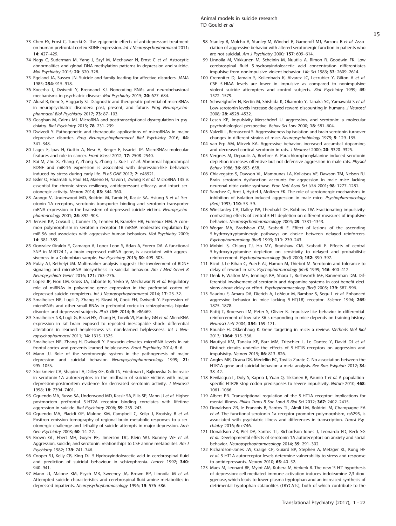- 73 Chen ES, Ernst C, Turecki G. The epigenetic effects of antidepressant treatment on human prefrontal cortex BDNF expression. Int J Neuropsychopharmacol 2011; 14: 427–429.
- 74 Nagy C, Suderman M, Yang J, Szyf M, Mechawar N, Ernst C et al. Astrocytic abnormalities and global DNA methylation patterns in depression and suicide. Mol Psychiatry 2015; 20: 320–328.
- 75 Egeland JA, Sussex JN. Suicide and family loading for affective disorders. JAMA 1985; 254: 915–918.
- 76 Kocerha J, Dwivedi Y, Brennand KJ. Noncoding RNAs and neurobehavioral mechanisms in psychiatric disease. Mol Psychiatry 2015; 20: 677–684.
- 77 Alural B, Genc S, Haggarty SJ. Diagnostic and therapeutic potential of microRNAs in neuropsychiatric disorders: past, present, and future. Prog Neuropsychopharmacol Biol Psychiatry 2017; 73: 87–103.
- 78 Geaghan M, Cairns MJ. MicroRNA and posttranscriptional dysregulation in psychiatry. Biol Psychiatry 2015; 78: 231–239.
- 79 Dwivedi Y. Pathogenetic and therapeutic applications of microRNAs in major depressive disorder. Prog Neuropsychopharmacol Biol Psychiatry 2016; 64: 341–348.
- 80 Lages E, Ipas H, Guttin A, Nesr H, Berger F, Issartel JP. MicroRNAs: molecular features and role in cancer. Front Biosci 2012; 17: 2508–2540.
- 81 Bai M, Zhu X, Zhang Y, Zhang S, Zhang L, Xue L et al. Abnormal hippocampal BDNF and miR-16 expression is associated with depression-like behaviors induced by stress during early life. PLoS ONE 2012; 7: e46921.
- 82 Issler O, Haramati S, Paul ED, Maeno H, Navon I, Zwang R et al. MicroRNA 135 is essential for chronic stress resiliency, antidepressant efficacy, and intact serotonergic activity. Neuron 2014; 83: 344–360.
- 83 Arango V, Underwood MD, Boldrini M, Tamir H, Kassir SA, Hsiung S et al. Serotonin 1A receptors, serotonin transporter binding and serotonin transporter mRNA expression in the brainstem of depressed suicide victims. Neuropsychopharmacology 2001; 25: 892–903.
- 84 Jensen KP, Covault J, Conner TS, Tennen H, Kranzler HR, Furneaux HM. A common polymorphism in serotonin receptor 1B mRNA moderates regulation by miR-96 and associates with aggressive human behaviors. Mol Psychiatry 2009; 14: 381–389.
- 85 Gonzalez-Giraldo Y, Camargo A, Lopez-Leon S, Adan A, Forero DA. A functional SNP in MIR124-1, a brain expressed miRNA gene, is associated with aggressiveness in a Colombian sample. Eur Psychiatry 2015; 30: 499–503.
- 86 Pulay AJ, Rethelyi JM. Multimarker analysis suggests the involvement of BDNF signaling and microRNA biosynthesis in suicidal behavior. Am J Med Genet B Neuropsychiatr Genet 2016; 171: 763–776.
- 87 Lopez JP, Fiori LM, Gross JA, Labonte B, Yerko V, Mechawar N et al. Regulatory role of miRNAs in polyamine gene expression in the prefrontal cortex of depressed suicide completers. Int J Neuropsychopharmacol 2014; 17: 23–32.
- 88 Smalheiser NR, Lugli G, Zhang H, Rizavi H, Cook EH, Dwivedi Y. Expression of microRNAs and other small RNAs in prefrontal cortex in schizophrenia, bipolar disorder and depressed subjects. PLoS ONE 2014; 9: e86469.
- 89 Smalheiser NR, Lugli G, Rizavi HS, Zhang H, Torvik VI, Pandey GN et al. MicroRNA expression in rat brain exposed to repeated inescapable shock: differential alterations in learned helplessness vs. non-learned helplessness. Int J Neuropsychopharmacol 2011; 14: 1315–1325.
- 90 Smalheiser NR, Zhang H, Dwivedi Y. Enoxacin elevates microRNA levels in rat frontal cortex and prevents learned helplessness. Front Psychiatry 2014; 5: 6.
- 91 Mann JJ. Role of the serotonergic system in the pathogenesis of major depression and suicidal behavior. Neuropsychopharmacology 1999; 21: 99S–105S.
- 92 Stockmeier CA, Shapiro LA, Dilley GE, Kolli TN, Friedman L, Rajkowska G. Increase in serotonin-1A autoreceptors in the midbrain of suicide victims with major depression-postmortem evidence for decreased serotonin activity. J Neurosci 1998; 18: 7394–7401.
- 93 Oquendo MA, Russo SA, Underwood MD, Kassir SA, Ellis SP, Mann JJ et al. Higher postmortem prefrontal 5-HT2A receptor binding correlates with lifetime aggression in suicide. Biol Psychiatry 2006; 59: 235–243.
- 94 Oquendo MA, Placidi GP, Malone KM, Campbell C, Keilp J, Brodsky B et al. Positron emission tomography of regional brain metabolic responses to a serotonergic challenge and lethality of suicide attempts in major depression. Arch Gen Psychiatry 2003; 60: 14–22.
- 95 Brown GL, Ebert MH, Goyer PF, Jimerson DC, Klein WJ, Bunney WE et al. Aggression, suicide, and serotonin: relationships to CSF amine metabolites. Am J Psychiatry 1982; 139: 741–746.
- 96 Cooper SJ, Kelly CB, King DJ. 5-Hydroxyindoleacetic acid in cerebrospinal fluid and prediction of suicidal behaviour in schizophrenia. Lancet 1992; 340: 940–941.
- 97 Mann JJ, Malone KM, Psych MR, Sweeney JA, Brown RP, Linnoila M et al. Attempted suicide characteristics and cerebrospinal fluid amine metabolites in depressed inpatients. Neuropsychopharmacology 1996; 15: 576–586.
- 98 Stanley B, Molcho A, Stanley M, Winchel R, Gameroff MJ, Parsons B et al. Association of aggressive behavior with altered serotonergic function in patients who are not suicidal. Am J Psychiatry 2000; 157: 609–614.
- 99 Linnoila M, Virkkunen M, Scheinin M, Nuutila A, Rimon R, Goodwin FK. Low cerebrospinal fluid 5-hydroxyindoleacetic acid concentration differentiates impulsive from nonimpulsive violent behavior. Life Sci 1983; 33: 2609–2614.
- 100 Cremniter D, Jamain S, Kollenbach K, Alvarez JC, Lecrubier Y, Gilton A et al. CSF 5-HIAA levels are lower in impulsive as compared to nonimpulsive violent suicide attempters and control subjects. Biol Psychiatry 1999; 45: 1572–1579.
- 101 Schweighofer N, Bertin M, Shishida K, Okamoto Y, Tanaka SC, Yamawaki S et al. Low-serotonin levels increase delayed reward discounting in humans. J Neurosci 2008; 28: 4528–4532.
- 102 Lesch KP, Impulsivity Merschdorf U. aggression, and serotonin: a molecular psychobiological perspective. Behav Sci Law 2000; 18: 581–604.
- 103 Valzelli L, Bernasconi S. Aggressiveness by isolation and brain serotonin turnover changes in different strains of mice. Neuropsychobiology 1979; 5: 129–135.
- 104 van Erp AM, Miczek KA. Aggressive behavior, increased accumbal dopamine, and decreased cortical serotonin in rats. J Neurosci 2000; 20: 9320–9325.
- 105 Vergnes M, Depaulis A, Boehrer A. Parachlorophenylalanine-induced serotonin depletion increases offensive but not defensive aggression in male rats. Physiol Behav 1986; 36: 653–658.
- 106 Chiavegatto S, Dawson VL, Mamounas LA, Koliatsos VE, Dawson TM, Nelson RJ. Brain serotonin dysfunction accounts for aggression in male mice lacking neuronal nitric oxide synthase. Proc Natl Acad Sci USA 2001; 98: 1277–1281.
- 107 Sanchez C, Arnt J, Hyttel J, Moltzen EK. The role of serotonergic mechanisms in inhibition of isolation-induced aggression in male mice. Psychopharmacology (Berl) 1993; 110: 53–59.
- 108 Winstanley CA, Dalley JW, Theobald DE, Robbins TW. Fractionating impulsivity: contrasting effects of central 5-HT depletion on different measures of impulsive behavior. Neuropsychopharmacology 2004; 29: 1331–1343.
- 109 Wogar MA, Bradshaw CM, Szabadi E. Effect of lesions of the ascending 5-hydroxytryptaminergic pathways on choice between delayed reinforcers. Psychopharmacology (Berl) 1993; 111: 239–243.
- 110 Mobini S, Chiang TJ, Ho MY, Bradshaw CM, Szabadi E. Effects of central 5-hydroxytryptamine depletion on sensitivity to delayed and probabilistic reinforcement. Psychopharmacology (Berl) 2000; 152: 390–397.
- 111 Bizot J, Le Bihan C, Puech AJ, Hamon M, Thiebot M. Serotonin and tolerance to delay of reward in rats. Psychopharmacology (Berl) 1999; 146: 400-412.
- 112 Denk F, Walton ME, Jennings KA, Sharp T, Rushworth MF, Bannerman DM. Differential involvement of serotonin and dopamine systems in cost-benefit decisions about delay or effort. Psychopharmacology (Berl) 2005; 179: 587-596.
- 113 Saudou F, Amara DA, Dierich A, LeMeur M, Ramboz S, Segu L et al. Enhanced aggressive behavior in mice lacking 5-HT(1B) receptor. Science 1994; 265: 1875–1878.
- 114 Pattij T, Broersen LM, Peter S, Olivier B. Impulsive-like behavior in differentialreinforcement-of-low-rate 36 s responding in mice depends on training history. Neurosci Lett 2004; 354: 169–171.
- 115 Bouabe H, Okkenhaug K. Gene targeting in mice: a review. Methods Mol Biol 2013; 1064: 315–336.
- 116 Nautiyal KM, Tanaka KF, Barr MM, Tritschler L, Le Dantec Y, David DJ et al. Distinct circuits underlie the effects of 5-HT1B receptors on aggression and impulsivity. Neuron 2015; 86: 813–826.
- 117 Angles MR, Ocana DB, Medellin BC, Tovilla-Zarate C. No association between the HTR1A gene and suicidal behavior: a meta-analysis. Rev Bras Psiquiatr 2012; 34: 38–42.
- 118 Bevilacqua L, Doly S, Kaprio J, Yuan Q, Tikkanen R, Paunio T et al. A populationspecific HTR2B stop codon predisposes to severe impulsivity. Nature 2010; 468: 1061–1066.
- 119 Albert PR. Transcriptional regulation of the 5-HT1A receptor: implications for mental illness. Philos Trans R Soc Lond B Biol Sci 2012; 367: 2402–2415.
- 120 Donaldson ZR, le Francois B, Santos TL, Almli LM, Boldrini M, Champagne FA et al. The functional serotonin 1a receptor promoter polymorphism, rs6295, is associated with psychiatric illness and differences in transcription. Transl Psychiatry 2016; 6: e746.
- 121 Donaldson ZR, Piel DA, Santos TL, Richardson-Jones J, Leonardo ED, Beck SG et al. Developmental effects of serotonin 1A autoreceptors on anxiety and social behavior. Neuropsychopharmacology 2014; 39: 291–302.
- 122 Richardson-Jones JW, Craige CP, Guiard BP, Stephen A, Metzger KL, Kung HF et al. 5-HT1A autoreceptor levels determine vulnerability to stress and response to antidepressants. Neuron 2010: 65: 40-52.
- 123 Maes M, Leonard BE, Myint AM, Kubera M, Verkerk R. The new '5-HT' hypothesis of depression: cell-mediated immune activation induces indoleamine 2,3-dioxygenase, which leads to lower plasma tryptophan and an increased synthesis of detrimental tryptophan catabolites (TRYCATs), both of which contribute to the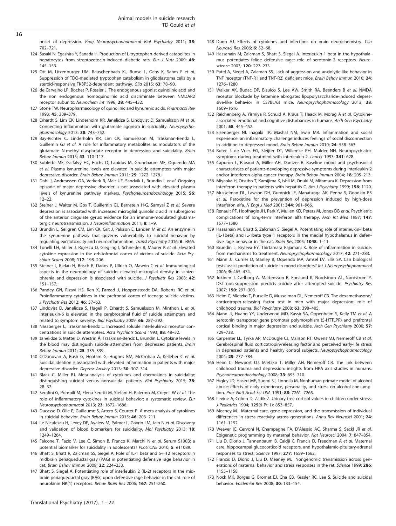onset of depression. Prog Neuropsychopharmacol Biol Psychiatry 2011; 35: 702–721.

- 124 Sasaki N, Egashira Y, Sanada H. Production of L-tryptophan-derived catabolites in hepatocytes from streptozotocin-induced diabetic rats. Eur J Nutr 2009: 48: 145–153.
- 125 Ott M, Litzenburger UM, Rauschenbach KJ, Bunse L, Ochs K, Sahm F et al. Suppression of TDO-mediated tryptophan catabolism in glioblastoma cells by a steroid-responsive FKBP52-dependent pathway. Glia 2015; 63: 78–90.
- 126 de Carvalho LP, Bochet P, Rossier J. The endogenous agonist quinolinic acid and the non endogenous homoquinolinic acid discriminate between NMDAR2 receptor subunits. Neurochem Int 1996; 28: 445–452.
- 127 Stone TW. Neuropharmacology of quinolinic and kynurenic acids. Pharmacol Rev 1993; 45: 309–379.
- 128 Erhardt S, Lim CK, Linderholm KR, Janelidze S, Lindqvist D, Samuelsson M et al. Connecting inflammation with glutamate agonism in suicidality. Neuropsychopharmacology 2013; 38: 743–752.
- 129 Bay-Richter C, Linderholm KR, Lim CK, Samuelsson M, Träskman-Bendz L, Guillemin GJ et al. A role for inflammatory metabolites as modulators of the glutamate N-methyl-d-aspartate receptor in depression and suicidality. Brain Behav Immun 2015; 43: 110–117.
- 130 Sublette ME, Galfalvy HC, Fuchs D, Lapidus M, Grunebaum MF, Oquendo MA et al. Plasma kynurenine levels are elevated in suicide attempters with major depressive disorder. Brain Behav Immun 2011; 25: 1272–1278.
- 131 Dahl J, Andreassen OA, Verkerk R, Malt UF, Sandvik L, Brundin L et al. Ongoing episode of major depressive disorder is not associated with elevated plasma levels of kynurenine pathway markers. Psychoneuroendocrinology 2015; 56: 12–22.
- 132 Steiner J, Walter M, Gos T, Guillemin GJ, Bernstein H-G, Sarnyai Z et al. Severe depression is associated with increased microglial quinolinic acid in subregions of the anterior cingulate gyrus: evidence for an immune-modulated glutamatergic neurotransmission. J Neuroinflammation 2011; 8: 1-9.
- 133 Brundin L, Sellgren CM, Lim CK, Grit J, Palsson E, Landen M et al. An enzyme in the kynurenine pathway that governs vulnerability to suicidal behavior by regulating excitotoxicity and neuroinflammation. Transl Psychiatry 2016; 6: e865.
- 134 Tonelli LH, Stiller J, Rujescu D, Giegling I, Schneider B, Maurer K et al. Elevated cytokine expression in the orbitofrontal cortex of victims of suicide. Acta Psychiatr Scand 2008; 117: 198–206.
- 135 Steiner J, Bielau H, Brisch R, Danos P, Ullrich O, Mawrin C et al. Immunological aspects in the neurobiology of suicide: elevated microglial density in schizophrenia and depression is associated with suicide. J Psychiatr Res 2008; 42: 151–157.
- 136 Pandey GN, Rizavi HS, Ren X, Fareed J, Hoppensteadt DA, Roberts RC et al. Proinflammatory cytokines in the prefrontal cortex of teenage suicide victims. J Psychiatr Res 2012; 46: 57–63.
- 137 Lindqvist D, Janelidze S, Hagell P, Erhardt S, Samuelsson M, Minthon L et al. Interleukin-6 is elevated in the cerebrospinal fluid of suicide attempters and related to symptom severity. Biol Psychiatry 2009; 66: 287–292.
- 138 Nassberger L, Traskman-Bendz L. Increased soluble interleukin-2 receptor concentrations in suicide attempters. Acta Psychiatr Scand 1993; 88: 48–52.
- 139 Janelidze S, Mattei D, Westrin Å, Träskman-Bendz L, Brundin L. Cytokine levels in the blood may distinguish suicide attempters from depressed patients. Brain Behav Immun 2011; 25: 335–339.
- 140 O'Donovan A, Rush G, Hoatam G, Hughes BM, McCrohan A, Kelleher C et al. Suicidal ideation is associated with elevated inflammation in patients with major depressive disorder. Depress Anxiety 2013; 30: 307–314.
- 141 Black C, Miller BJ. Meta-analysis of cytokines and chemokines in suicidality: distinguishing suicidal versus nonsuicidal patients. Biol Psychiatry 2015; 78: 28–37.
- 142 Serafini G, Pompili M, Elena Seretti M, Stefani H, Palermo M, Coryell W et al. The role of inflammatory cytokines in suicidal behavior: a systematic review. Eur Neuropsychopharmacol 2013; 23: 1672–1686.
- 143 Ducasse D, Olie E, Guillaume S, Artero S, Courtet P. A meta-analysis of cytokines in suicidal behavior. Brain Behav Immun 2015; 46: 203–211.
- 144 Le-Niculescu H, Levey DF, Ayalew M, Palmer L, Gavrin LM, Jain N et al. Discovery and validation of blood biomarkers for suicidality. Mol Psychiatry 2013; 18: 1249–1264.
- 145 Falcone T, Fazio V, Lee C, Simon B, Franco K, Marchi N et al. Serum S100B: a potential biomarker for suicidality in adolescents? PLoS ONE 2010; 5: e11089.
- 146 Bhatt S, Bhatt R, Zalcman SS, Siegel A. Role of IL-1 beta and 5-HT2 receptors in midbrain periaqueductal gray (PAG) in potentiating defensive rage behavior in cat. Brain Behav Immun 2008; 22: 224–233.
- 147 Bhatt S, Siegel A. Potentiating role of interleukin 2 (IL-2) receptors in the midbrain periaqueductal gray (PAG) upon defensive rage behavior in the cat: role of neurokinin NK(1) receptors. Behav Brain Res 2006; 167: 251–260.
- 148 Dunn AJ. Effects of cytokines and infections on brain neurochemistry. Clin Neurosci Res 2006; 6: 52–68.
- 149 Hassanain M, Zalcman S, Bhatt S, Siegel A. Interleukin-1 beta in the hypothalamus potentiates feline defensive rage: role of serotonin-2 receptors. Neuroscience 2003; 120: 227-233.
- 150 Patel A, Siegel A, Zalcman SS. Lack of aggression and anxiolytic-like behavior in TNF receptor (TNF-R1 and TNF-R2) deficient mice. Brain Behav Immun 2010; 24: 1276–1280.
- 151 Walker AK, Budac DP, Bisulco S, Lee AW, Smith RA, Beenders B et al. NMDA receptor blockade by ketamine abrogates lipopolysaccharide-induced depressive-like behavior in C57BL/6J mice. Neuropsychopharmacology 2013; 38: 1609–1616.
- 152 Reichenberg A, Yirmiya R, Schuld A, Kraus T, Haack M, Morag A et al. Cytokineassociated emotional and cognitive disturbances in humans. Arch Gen Psychiatry 2001; 58: 445–452.
- 153 Eisenberger NI, Inagaki TK, Mashal NM, Irwin MR. Inflammation and social experience: an inflammatory challenge induces feelings of social disconnection in addition to depressed mood. Brain Behav Immun 2010; 24: 558–563.
- 154 Buter J, de Vries EG, Sleijfer DT, Willemse PH, Mulder NH. Neuropsychiatric symptoms during treatment with interleukin-2. Lancet 1993; 341: 628.
- 155 Capuron L, Ravaud A, Miller AH, Dantzer R. Baseline mood and psychosocial characteristics of patients developing depressive symptoms during interleukin-2 and/or interferon-alpha cancer therapy. Brain Behav Immun 2004; 18: 205–213.
- 156 Miyaoka H, Otsubo T, Kamijima K, Ishii M, Onuki M, Mitamura K. Depression from interferon therapy in patients with hepatitis C. Am J Psychiatry 1999; 156: 1120.
- 157 Musselman DL, Lawson DH, Gumnick JF, Manatunga AK, Penna S, Goodkin RS et al. Paroxetine for the prevention of depression induced by high-dose interferon alfa. N Engl J Med 2001; 344: 961–966.
- 158 Renault PF, Hoofnagle JH, Park Y, Mullen KD, Peters M, Jones DB et al. Psychiatric complications of long-term interferon alfa therapy. Arch Int Med 1987; 147: 1577–1580.
- 159 Hassanain M, Bhatt S, Zalcman S, Siegel A. Potentiating role of interleukin-1beta (IL-1beta) and IL-1beta type 1 receptors in the medial hypothalamus in defensive rage behavior in the cat. Brain Res 2005: 1048: 1-11.
- 160 Brundin L, Bryleva EY, Thirtamara Rajamani K. Role of inflammation in suicide: from mechanisms to treatment. Neuropsychopharmacology 2017; 42: 271–283.
- 161 Mann JJ, Currier D, Stanley B, Oquendo MA, Amsel LV, Ellis SP. Can biological tests assist prediction of suicide in mood disorders? Int J Neuropsychopharmacol 2006; 9: 465–474.
- 162 Jokinen J, Carlborg A, Martensson B, Forslund K, Nordstrom AL, Nordstrom P. DST non-suppression predicts suicide after attempted suicide. Psychiatry Res 2007; 150: 297–303.
- 163 Heim C, Mletzko T, Purselle D, Musselman DL, Nemeroff CB. The dexamethasone/ corticotropin-releasing factor test in men with major depression: role of childhood trauma. Biol Psychiatry 2008; 63: 398–405.
- 164 Mann JJ, Huang YY, Underwood MD, Kassir SA, Oppenheim S, Kelly TM et al. A serotonin transporter gene promoter polymorphism (5-HTTLPR) and prefrontal cortical binding in major depression and suicide. Arch Gen Psychiatry 2000; 57: 729–738.
- 165 Carpenter LL, Tyrka AR, McDougle CJ, Malison RT, Owens MJ, Nemeroff CB et al. Cerebrospinal fluid corticotropin-releasing factor and perceived early-life stress in depressed patients and healthy control subjects. Neuropsychopharmacology 2004; 29: 777–784.
- 166 Heim C, Newport DJ, Mletzko T, Miller AH, Nemeroff CB. The link between childhood trauma and depression: insights from HPA axis studies in humans. Psychoneuroendocrinology 2008; 33: 693–710.
- 167 Higley JD, Hasert MF, Suomi SJ, Linnoila M. Nonhuman primate model of alcohol abuse: effects of early experience, personality, and stress on alcohol consumption. Proc Natl Acad Sci USA 1991; 88: 7261–7265.
- 168 Levine A, Cohen D, Zadik Z. Urinary free cortisol values in children under stress. J Pediatrics 1994; 125(6 Pt 1): 853–857.
- 169 Meaney MJ. Maternal care, gene expression, and the transmission of individual differences in stress reactivity across generations. Annu Rev Neurosci 2001; 24: 1161–1192.
- 170 Weaver IC, Cervoni N, Champagne FA, D'Alessio AC, Sharma S, Seckl JR et al. Epigenetic programming by maternal behavior. Nat Neurosci 2004; 7: 847–854.
- 171 Liu D, Diorio J, Tannenbaum B, Caldji C, Francis D, Freedman A et al. Maternal care, hippocampal glucocorticoid receptors, and hypothalamic-pituitary-adrenal responses to stress. Science 1997; 277: 1659–1662.
- 172 Francis D, Diorio J, Liu D, Meaney MJ. Nongenomic transmission across generations of maternal behavior and stress responses in the rat. Science 1999; 286: 1155–1158.
- 173 Nock MK, Borges G, Bromet EJ, Cha CB, Kessler RC, Lee S. Suicide and suicidal behavior. Epidemiol Rev 2008; 30: 133–154.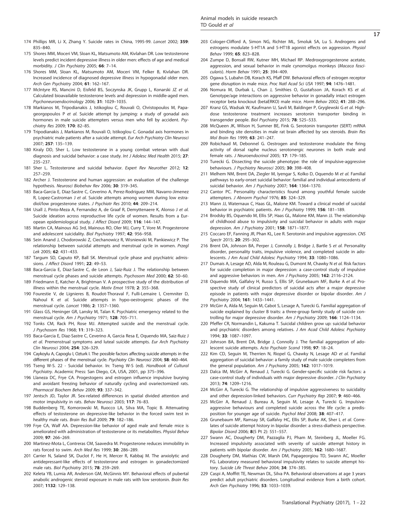- 175 Shores MM, Moceri VM, Sloan KL, Matsumoto AM, Kivlahan DR. Low testosterone levels predict incident depressive illness in older men: effects of age and medical morbidity. J Clin Psychiatry 2005; 66: 7-14.
- 176 Shores MM, Sloan KL, Matsumoto AM, Moceri VM, Felker B, Kivlahan DR. Increased incidence of diagnosed depressive illness in hypogonadal older men. Arch Gen Psychiatry 2004; 61: 162–167.
- 177 McIntyre RS, Mancini D, Eisfeld BS, Soczynska JK, Grupp L, Konarski JZ et al. Calculated bioavailable testosterone levels and depression in middle-aged men. Psychoneuroendocrinology 2006; 31: 1029–1035.
- 178 Markianos M, Tripodianakis J, Istikoglou C, Rouvali O, Christopoulos M, Papageorgopoulos P et al. Suicide attempt by jumping: a study of gonadal axis hormones in male suicide attempters versus men who fell by accident. Psychiatry Res 2009; 170: 82–85.
- 179 Tripodianakis J, Markianos M, Rouvali O, Istikoglou C. Gonadal axis hormones in psychiatric male patients after a suicide attempt. Eur Arch Psychiatry Clin Neurosci 2007; 257: 135–139.
- 180 Kiraly DD, Sher L. Low testosterone in a young combat veteran with dual diagnosis and suicidal behavior: a case study. Int J Adolesc Med Health 2015; 27: 235–237.
- 181 Sher L. Testosterone and suicidal behavior. Expert Rev Neurother 2012; 12: 257–259.
- 182 Archer J. Testosterone and human aggression: an evaluation of the challenge hypothesis. Neurosci Biobehav Rev 2006; 30: 319–345.
- 183 Baca-Garcia E, Diaz-Sastre C, Ceverino A, Perez-Rodriguez MM, Navarro-Jimenez R, Lopez-Castroman J et al. Suicide attempts among women during low estradiol/low progesterone states. J Psychiatr Res 2010; 44: 209–214.
- 184 Usall J, Pinto-Meza A, Fernandez A, de Graaf R, Demyttenaere K, Alonso J et al. Suicide ideation across reproductive life cycle of women. Results from a European epidemiological study. J Affect Disord 2009; 116: 144–147.
- 185 Martin CA, Mainous AG 3rd, Mainous RO, Oler MJ, Curry T, Vore M. Progesterone and adolescent suicidality. Biol Psychiatry 1997; 42: 956–958.
- 186 Sein Anand J, Chodorowski Z, Ciechanowicz R, Wisniewski M, Pankiewicz P. The relationship between suicidal attempts and menstrual cycle in women. Przegl Lek 2005; 62: 431–433.
- 187 Targum SD, Caputo KP, Ball SK. Menstrual cycle phase and psychiatric admissions. J Affect Disord 1991; 22: 49–53.
- 188 Baca-Garcia E, Diaz-Sastre C, de Leon J, Saiz-Ruiz J. The relationship between menstrual cycle phases and suicide attempts. Psychosom Med 2000; 62: 50–60.
- 189 Friedmann E, Katcher A, Brightman V. A prospective study of the distribution of illness within the menstrual cycle. Motiv Emot 1978; 2: 355–368.
- 190 Fourestie V, de Lignieres B, Roudot-Thoraval F, Fulli-Lemaire I, Cremniter D, Nahoul K et al. Suicide attempts in hypo-oestrogenic phases of the menstrual cycle. Lancet 1986; 2: 1357–1360.
- 191 Glass GS, Heninger GR, Lansky M, Talan K. Psychiatric emergency related to the menstrual cycle. Am J Psychiatry 1971; 128: 705–711.
- 192 Tonks CM, Rack PH, Rose MJ. Attempted suicide and the menstrual cycle. J Psychosom Res 1968; 11: 319–323.
- 193 Baca-Garcia E, Diaz-Sastre C, Ceverino A, Garcia Resa E, Oquendo MA, Saiz-Ruiz J et al. Premenstrual symptoms and luteal suicide attempts. Eur Arch Psychiatry Clin Neurosci 2004; 254: 326–329.
- 194 Caykoylu A, Capoglu I, Ozturk I. The possible factors affecting suicide attempts in the different phases of the menstrual cycle. Psychiatry Clin Neurosci 2004; 58: 460-464.
- 195 Tseng W-S. 22 Suicidal behavior. In: Tseng W-S (ed). Handbook of Cultural Psychiatry. Academic Press: San Diego, CA, USA, 2001, pp 375–396.
- 196 Llaneza DC, Frye CA. Progestogens and estrogen influence impulsive burying and avoidant freezing behavior of naturally cycling and ovariectomized rats. Pharmacol Biochem Behav 2009; 93: 337–342.
- 197 Jentsch JD, Taylor JR. Sex-related differences in spatial divided attention and motor impulsivity in rats. Behav Neurosci 2003; 117: 76–83.
- 198 Buddenberg TE, Komorowski M, Ruocco LA, Silva MA, Topic B. Attenuating effects of testosterone on depressive-like behavior in the forced swim test in healthy male rats. Brain Res Bull 2009; 79: 182–186.
- 199 Frye CA, Walf AA. Depression-like behavior of aged male and female mice is ameliorated with administration of testosterone or its metabolites. Physiol Behav 2009; 97: 266–269.
- 200 Martinez-Mota L, Contreras CM, Saavedra M. Progesterone reduces immobility in rats forced to swim. Arch Med Res 1999; 30: 286–289.
- 201 Carrier N, Saland SK, Duclot F, He H, Mercer R, Kabbaj M. The anxiolytic and antidepressant-like effects of testosterone and estrogen in gonadectomized male rats. Biol Psychiatry 2015; 78: 259–269.
- 202 Keleta YB, Lumia AR, Anderson GM, McGinnis MY. Behavioral effects of pubertal anabolic androgenic steroid exposure in male rats with low serotonin. Brain Res 2007; 1132: 129–138.
- 203 Cologer-Clifford A, Simon NG, Richter ML, Smoluk SA, Lu S. Androgens and estrogens modulate 5-HT1A and 5-HT1B agonist effects on aggression. Physiol Behav 1999; 65: 823–828.
- 204 Zumpe D, Bonsall RW, Kutner MH, Michael RP. Medroxyprogesterone acetate, aggression, and sexual behavior in male cynomolgus monkeys (Macaca fascicularis). Horm Behav 1991; 25: 394–409.
- 205 Ogawa S, Lubahn DB, Korach KS, Pfaff DW. Behavioral effects of estrogen receptor gene disruption in male mice. Proc Natl Acad Sci USA 1997; 94: 1476-1481.
- 206 Nomura M, Durbak L, Chan J, Smithies O, Gustafsson JA, Korach KS et al. Genotype/age interactions on aggressive behavior in gonadally intact estrogen receptor beta knockout (betaERKO) male mice. Horm Behav 2002; 41: 288–296.
- 207 Kranz GS, Wadsak W, Kaufmann U, Savli M, Baldinger P, Gryglewski G et al. Highdose testosterone treatment increases serotonin transporter binding in transgender people. Biol Psychiatry 2015; 78: 525–533.
- 208 McQueen JK, Wilson H, Sumner BE, Fink G. Serotonin transporter (SERT) mRNA and binding site densities in male rat brain affected by sex steroids. Brain Res Mol Brain Res 1999; 63: 241–247.
- 209 Robichaud M, Debonnel G. Oestrogen and testosterone modulate the firing activity of dorsal raphe nucleus serotonergic neurones in both male and female rats. J Neuroendocrinol 2005; 17: 179–185.
- 210 Turecki G. Dissecting the suicide phenotype: the role of impulsive-aggressive behaviours. J Psychiatry Neurosci 2005; 30: 398–408.
- 211 Melhem NM, Brent DA, Ziegler M, Iyengar S, Kolko D, Oquendo M et al. Familial pathways to early-onset suicidal behavior: familial and individual antecedents of suicidal behavior. Am J Psychiatry 2007; 164: 1364-1370.
- 212 Cantor PC. Personality characteristics found among youthful female suicide attempters. J Abnorm Psychol 1976; 85: 324–329.
- 213 Mann JJ, Waternaux C, Haas GL, Malone KM. Toward a clinical model of suicidal behavior in psychiatric patients. Am J Psychiatry 1999; 156: 181–189.
- 214 Brodsky BS, Oquendo M, Ellis SP, Haas GL, Malone KM, Mann JJ. The relationship of childhood abuse to impulsivity and suicidal behavior in adults with major depression. Am J Psychiatry 2001; 158: 1871–1877.
- 215 Coccaro EF, Fanning JR, Phan KL, Lee R. Serotonin and impulsive aggression. CNS Spectr 2015; 20: 295–302.
- 216 Brent DA, Johnson BA, Perper J, Connolly J, Bridge J, Bartle S et al. Personality disorder, personality traits, impulsive violence, and completed suicide in adolescents. J Am Acad Child Adolesc Psychiatry 1994; 33: 1080–1086.
- 217 Dumais A, Lesage AD, Alda M, Rouleau G, Dumont M, Chawky N et al. Risk factors for suicide completion in major depression: a case-control study of impulsive and aggressive behaviors in men. Am J Psychiatry 2005; 162: 2116–2124.
- 218 Oquendo MA, Galfalvy H, Russo S, Ellis SP, Grunebaum MF, Burke A et al. Prospective study of clinical predictors of suicidal acts after a major depressive episode in patients with major depressive disorder or bipolar disorder. Am J Psychiatry 2004; 161: 1433–1441.
- 219 McGirr A, Alda M, Seguin M, Cabot S, Lesage A, Turecki G. Familial aggregation of suicide explained by cluster B traits: a three-group family study of suicide controlling for major depressive disorder. Am J Psychiatry 2009; 166: 1124–1134.
- 220 Pfeffer CR, Normandin L, Kakuma T. Suicidal children grow up: suicidal behavior and psychiatric disorders among relatives. J Am Acad Child Adolesc Psychiatry 1994; 33: 1087–1097.
- 221 Johnson BA, Brent DA, Bridge J, Connolly J. The familial aggregation of adolescent suicide attempts. Acta Psychiatr Scand 1998; 97: 18–24.
- 222 Kim CD, Seguin M, Therrien N, Riopel G, Chawky N, Lesage AD et al. Familial aggregation of suicidal behavior: a family study of male suicide completers from the general population. Am J Psychiatry 2005; 162: 1017-1019.
- 223 Dalca IM, McGirr A, Renaud J, Turecki G. Gender-specific suicide risk factors: a case-control study of individuals with major depressive disorder. J Clin Psychiatry 2013; 74: 1209–1216.
- 224 McGirr A, Turecki G. The relationship of impulsive aggressiveness to suicidality and other depression-linked behaviors. Curr Psychiatry Rep 2007; 9: 460-466
- 225 McGirr A, Renaud J, Bureau A, Seguin M, Lesage A, Turecki G. Impulsiveaggressive behaviours and completed suicide across the life cycle: a predisposition for younger age of suicide. Psychol Med 2008; 38: 407–417.
- 226 Grunebaum MF, Ramsay SR, Galfalvy HC, Ellis SP, Burke AK, Sher L et al. Correlates of suicide attempt history in bipolar disorder: a stress-diathesis perspective. Bipolar Disord 2006; 8(5 Pt 2): 551–557.
- 227 Swann AC, Dougherty DM, Pazzaglia PJ, Pham M, Steinberg JL, Moeller FG. Increased impulsivity associated with severity of suicide attempt history in patients with bipolar disorder. Am J Psychiatry 2005; 162: 1680-1687.
- 228 Dougherty DM, Mathias CW, Marsh DM, Papageorgiou TD, Swann AC, Moeller FG. Laboratory measured behavioral impulsivity relates to suicide attempt history. Suicide Life Threat Behav 2004; 34: 374–385.
- 229 Caspi A, Moffitt TE, Newman DL, Silva PA. Behavioral observations at age 3 years predict adult psychiatric disorders. Longitudinal evidence from a birth cohort. Arch Gen Psychiatry 1996; 53: 1033–1039.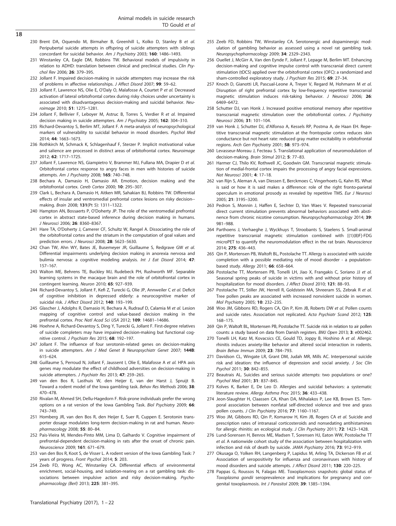- 230 Brent DA, Oquendo M, Birmaher B, Greenhill L, Kolko D, Stanley B et al. Peripubertal suicide attempts in offspring of suicide attempters with siblings concordant for suicidal behavior. Am J Psychiatry 2003; 160: 1486–1493.
- 231 Winstanley CA, Eagle DM, Robbins TW. Behavioral models of impulsivity in relation to ADHD: translation between clinical and preclinical studies. Clin Psychol Rev 2006; 26: 379–395.
- 232 Jollant F. Impaired decision-making in suicide attempters may increase the risk of problems in affective relationships. J Affect Disord 2007; 99: 59–62.
- 233 Jollant F, Lawrence NS, Olie E, O'Daly O, Malafosse A, Courtet P et al. Decreased activation of lateral orbitofrontal cortex during risky choices under uncertainty is associated with disadvantageous decision-making and suicidal behavior. Neuroimage 2010; 51: 1275–1281.
- 234 Jollant F, Bellivier F, Leboyer M, Astruc B, Torres S, Verdier R et al. Impaired decision making in suicide attempters. Am J Psychiatry 2005; 162: 304–310.
- 235 Richard-Devantoy S, Berlim MT, Jollant F. A meta-analysis of neuropsychological markers of vulnerability to suicidal behavior in mood disorders. Psychol Med 2014; 44: 1663–1673.
- 236 Rothkirch M, Schmack K, Schlagenhauf F, Sterzer P. Implicit motivational value and salience are processed in distinct areas of orbitofrontal cortex. Neuroimage 2012; 62: 1717–1725.
- 237 Jollant F, Lawrence NS, Giampietro V, Brammer MJ, Fullana MA, Drapier D et al. Orbitofrontal cortex response to angry faces in men with histories of suicide attempts. Am J Psychiatry 2008; 165: 740-748.
- 238 Bechara A, Damasio H, Damasio AR. Emotion, decision making and the orbitofrontal cortex. Cereb Cortex 2000; 10: 295–307.
- 239 Clark L, Bechara A, Damasio H, Aitken MR, Sahakian BJ, Robbins TW. Differential effects of insular and ventromedial prefrontal cortex lesions on risky decision- making. Brain 2008; 131(Pt 5): 1311–1322.
- 240 Hampton AN, Bossaerts P, O'Doherty JP. The role of the ventromedial prefrontal cortex in abstract state-based inference during decision making in humans. J Neurosci 2006; 26: 8360–8367.
- 241 Hare TA, O'Doherty J, Camerer CF, Schultz W, Rangel A. Dissociating the role of the orbitofrontal cortex and the striatum in the computation of goal values and prediction errors. J Neurosci 2008; 28: 5623–5630.
- 242 Chan TW, Ahn WY, Bates JE, Busemever JR, Guillaume S, Redgrave GW et al. Differential impairments underlying decision making in anorexia nervosa and bulimia nervosa: a cognitive modeling analysis. Int J Eat Disord 2014; 47: 157–167.
- 243 Walton ME, Behrens TE, Buckley MJ, Rudebeck PH, Rushworth MF. Separable learning systems in the macaque brain and the role of orbitofrontal cortex in contingent learning. Neuron 2010; 65: 927–939.
- 244 Richard-Devantoy S, Jollant F, Kefi Z, Turecki G, Olie JP, Annweiler C et al. Deficit of cognitive inhibition in depressed elderly: a neurocognitive marker of suicidal risk. J Affect Disord 2012; 140: 193–199.
- 245 Glascher J, Adolphs R, Damasio H, Bechara A, Rudrauf D, Calamia M et al. Lesion mapping of cognitive control and value-based decision making in the prefrontal cortex. Proc Natl Acad Sci USA 2012; 109: 14681–14686.
- 246 Hoehne A, Richard-Devantoy S, Ding Y, Turecki G, Jollant F. First-degree relatives of suicide completers may have impaired decision-making but functional cognitive control. J Psychiatr Res 2015; 68: 192–197.
- 247 Jollant F. The influence of four serotonin-related genes on decision-making in suicide attempters. Am J Med Genet B Neuropsychiatr Genet 2007; 144B: 615–624.
- 248 Guillaume S, Perroud N, Jollant F, Jaussent I, Olie E, Malafosse A et al. HPA axis genes may modulate the effect of childhood adversities on decision-making in suicide attempters. J Psychiatr Res 2013; 47: 259-265.
- 249 van den Bos R, Lasthuis W, den Heijer E, van der Harst J, Spruijt B. Toward a rodent model of the Iowa gambling task. Behav Res Methods 2006; 38: 470–478.
- 250 Rivalan M, Ahmed SH, Dellu-Hagedorn F. Risk-prone individuals prefer the wrong options on a rat version of the Iowa Gambling Task. Biol Psychiatry 2009; 66: 743–749.
- 251 Homberg JR, van den Bos R, den Heijer E, Suer R, Cuppen E. Serotonin transporter dosage modulates long-term decision-making in rat and human. Neuropharmacology 2008; 55: 80–84.
- 252 Pais-Vieira M, Mendes-Pinto MM, Lima D, Galhardo V. Cognitive impairment of prefrontal-dependent decision-making in rats after the onset of chronic pain. Neuroscience 2009; 161: 671–679.
- 253 van den Bos R, Koot S, de Visser L. A rodent version of the Iowa Gambling Task: 7 years of progress. Front Psychol 2014; 5: 203.
- 254 Zeeb FD, Wong AC, Winstanley CA. Differential effects of environmental enrichment, social-housing, and isolation-rearing on a rat gambling task: dissociations between impulsive action and risky decision-making. Psychopharmacology (Berl) 2013; 225: 381–395.
- 255 Zeeb FD, Robbins TW, Winstanley CA. Serotonergic and dopaminergic modulation of gambling behavior as assessed using a novel rat gambling task. Neuropsychopharmacology 2009; 34: 2329–2343.
- 256 Ouellet J, McGirr A, Van den Eynde F, Jollant F, Lepage M, Berlim MT. Enhancing decision-making and cognitive impulse control with transcranial direct current stimulation (tDCS) applied over the orbitofrontal cortex (OFC): a randomized and sham-controlled exploratory study. J Psychiatr Res 2015; 69: 27–34.
- 257 Knoch D, Gianotti LR, Pascual-Leone A, Treyer V, Regard M, Hohmann M et al. Disruption of right prefrontal cortex by low-frequency repetitive transcranial magnetic stimulation induces risk-taking behavior. J Neurosci 2006; 26: 6469–6472.
- 258 Schutter DJ, van Honk J. Increased positive emotional memory after repetitive transcranial magnetic stimulation over the orbitofrontal cortex. J Psychiatry Neurosci 2006; 31: 101–104.
- 259 van Honk J, Schutter DJ, d'Alfonso A, Kessels RP, Postma A, de Haan EH. Repetitive transcranial magnetic stimulation at the frontopolar cortex reduces skin conductance but not heart rate: reduced gray matter excitability in orbitofrontal regions. Arch Gen Psychiatry 2001; 58: 973–974.
- 260 Levasseur-Moreau J, Fecteau S. Translational application of neuromodulation of decision-making. Brain Stimul 2012; 5: 77–83.
- 261 Harmer CJ, Thilo KV, Rothwell JC, Goodwin GM. Transcranial magnetic stimulation of medial-frontal cortex impairs the processing of angry facial expressions. Nat Neurosci 2001; 4: 17–18.
- 262 van Rijn S, Aleman A, van Diessen E, Berckmoes C, Vingerhoets G, Kahn RS. What is said or how it is said makes a difference: role of the right fronto-parietal operculum in emotional prosody as revealed by repetitive TMS. Eur J Neurosci 2005; 21: 3195–3200.
- 263 Pedron S, Monnin J, Haffen E, Sechter D, Van Waes V. Repeated transcranial direct current stimulation prevents abnormal behaviors associated with abstinence from chronic nicotine consumption. Neuropsychopharmacology 2014; 39: 981–988.
- 264 Parthoens J, Verhaeghe J, Wyckhuys T, Stroobants S, Staelens S. Small-animal repetitive transcranial magnetic stimulation combined with [(1)(8)F]-FDG microPET to quantify the neuromodulation effect in the rat brain. Neuroscience 2014; 275: 436–443.
- 265 Qin P, Mortensen PB, Waltoft BL, Postolache TT. Allergy is associated with suicide completion with a possible mediating role of mood disorder - a populationbased study. Allergy 2011; 66: 658–664.
- 266 Postolache TT, Mortensen PB, Tonelli LH, Jiao X, Frangakis C, Soriano JJ et al. Seasonal spring peaks of suicide in victims with and without prior history of hospitalization for mood disorders. J Affect Disord 2010; 121: 88–93.
- 267 Postolache TT, Stiller JW, Herrell R, Goldstein MA, Shreeram SS, Zebrak R et al. Tree pollen peaks are associated with increased nonviolent suicide in women. Mol Psychiatry 2005; 10: 232–235.
- 268 Woo JM, Gibbons RD, Rogers CA, Qin P, Kim JB, Roberts DW et al. Pollen counts and suicide rates. Association not replicated. Acta Psychiatr Scand 2012; 125: 168–175.
- 269 Qin P, Waltoft BL, Mortensen PB, Postolache TT. Suicide risk in relation to air pollen counts: a study based on data from Danish registers. BMJ Open 2013; 3: e002462.
- 270 Tonelli LH, Katz M, Kovacsics CE, Gould TD, Joppy B, Hoshino A et al. Allergic rhinitis induces anxiety-like behavior and altered social interaction in rodents. Brain Behav Immun 2009; 23: 784–793.
- 271 Davidson CL, Wingate LR, Grant DM, Judah MR, Mills AC. Interpersonal suicide risk and ideation: the influence of depression and social anxiety. J Soc Clin Psychol 2011; 30: 842–855.
- 272 Beautrais AL. Suicides and serious suicide attempts: two populations or one? Psychol Med 2001; 31: 837–845.
- 273 Kolves K, Barker E, De Leo D. Allergies and suicidal behaviors: a systematic literature review. Allergy Asthma Proc 2015; 36: 433–438.
- 274 Jeon-Slaughter H, Claassen CA, Khan DA, Mihalakos P, Lee KB, Brown ES. Temporal association between nonfatal self-directed violence and tree and grass pollen counts. J Clin Psychiatry 2016; 77: 1160-1167.
- 275 Woo JM, Gibbons RD, Qin P, Komarow H, Kim JB, Rogers CA et al. Suicide and prescription rates of intranasal corticosteroids and nonsedating antihistamines for allergic rhinitis: an ecological study. J Clin Psychiatry 2011; 72: 1423–1428.
- 276 Lund-Sorensen H, Benros ME, Madsen T, Sorensen HJ, Eaton WW, Postolache TT et al. A nationwide cohort study of the association between hospitalization with infection and risk of death by suicide. JAMA Psychiatry 2016; 73: 912–919.
- 277 Okusaga O, Yolken RH, Langenberg P, Lapidus M, Arling TA, Dickerson FB et al. Association of seropositivity for influenza and coronaviruses with history of mood disorders and suicide attempts. J Affect Disord 2011; 130: 220–225.
- 278 Pappas G, Roussos N, Falagas ME. Toxoplasmosis snapshots: global status of Toxoplasma gondii seroprevalence and implications for pregnancy and congenital toxoplasmosis. Int J Parasitol 2009; 39: 1385–1394.

18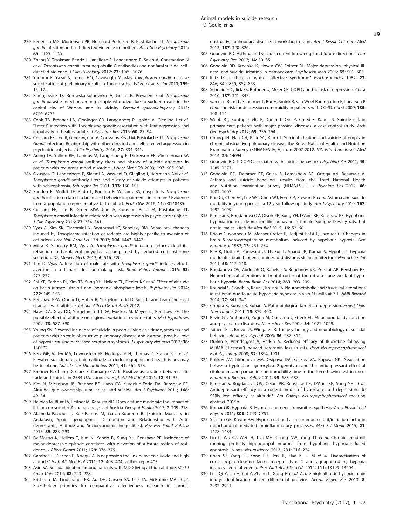#### 279 Pedersen MG, Mortensen PB, Norgaard-Pedersen B, Postolache TT. Toxoplasma gondii infection and self-directed violence in mothers. Arch Gen Psychiatry 2012; 69: 1123–1130.

- 280 Zhang Y, Traskman-Bendz L, Janelidze S, Langenberg P, Saleh A, Constantine N et al. Toxoplasma gondii immunoglobulin G antibodies and nonfatal suicidal selfdirected violence. J Clin Psychiatry 2012; 73: 1069–1076.
- 281 Yagmur F, Yazar S, Temel HO, Cavusoglu M. May Toxoplasma gondii increase suicide attempt-preliminary results in Turkish subjects? Forensic Sci Int 2010; 199: 15–17.
- 282 Samojlowicz D, Borowska-Solonynko A, Golab E. Prevalence of Toxoplasma gondii parasite infection among people who died due to sudden death in the capital city of Warsaw and its vicinity. Przeglad epidemiologiczny 2013; 6729–6733.
- 283 Cook TB, Brenner LA, Cloninger CR, Langenberg P, Igbide A, Giegling I et al. "Latent" infection with Toxoplasma gondii: association with trait aggression and impulsivity in healthy adults. J Psychiatr Res 2015; 60: 87-94.
- 284 Coccaro EF, Lee R, Groer M, Can A, Coussons-Read M, Postolache TT. Toxoplasma Gondii Infection: Relationship with other-directed and self-directed aggression in psychiatric subjects. J Clin Psychiatry 2016; 77: 334–341.
- 285 Arling TA, Yolken RH, Lapidus M, Langenberg P, Dickerson FB, Zimmerman SA et al. Toxoplasma gondii antibody titers and history of suicide attempts in patients with recurrent mood disorders. J Nerv Ment Dis 2009; 197: 905-908.
- 286 Okusaga O, Langenberg P, Sleemi A, Vaswani D, Giegling I, Hartmann AM et al. Toxoplasma gondii antibody titers and history of suicide attempts in patients with schizophrenia. Schizophr Res 2011; 133: 150–155.
- 287 Sugden K, Moffitt TE, Pinto L, Poulton R, Williams BS, Caspi A. Is Toxoplasma gondii infection related to brain and behavior impairments in humans? Evidence from a population-representative birth cohort. PLoS ONE 2016; 11: e0148435.
- 288 Coccaro EF, Lee R, Groer MW, Can A, Coussons-Read M, Postolache TT. Toxoplasma gondii infection: relationship with aggression in psychiatric subjects. J Clin Psychiatry 2016; 77: 334–341.
- 289 Vyas A, Kim SK, Giacomini N, Boothroyd JC, Sapolsky RM. Behavioral changes induced by Toxoplasma infection of rodents are highly specific to aversion of cat odors. Proc Natl Acad Sci USA 2007; 104: 6442–6447.
- 290 Mitra R, Sapolsky RM, Vyas A. Toxoplasma gondii infection induces dendritic retraction in basolateral amygdala accompanied by reduced corticosterone secretion. Dis Models Mech 2013; 6: 516–520.
- 291 Tan D, Vyas A. Infection of male rats with *Toxoplasma gondii* induces effortaversion in a T-maze decision-making task. Brain Behav Immun 2016; 53: 273–277.
- 292 Shi XF, Carlson PJ, Kim TS, Sung YH, Hellem TL, Fiedler KK et al. Effect of altitude on brain intracellular pH and inorganic phosphate levels. Psychiatry Res 2014; 222: 149–156.
- 293 Renshaw PPA, Ongur D, Huber R, Yurgelun-Todd D. Suicide and brain chemical changes with altitude. Int Soc Affect Disord Abstr 2012.
- 294 Haws CA, Gray DD, Yurgelun-Todd DA, Moskos M, Meyer LJ, Renshaw PF. The possible effect of altitude on regional variation in suicide rates. Med Hypotheses 2009; 73: 587–590.
- 295 Young SN. Elevated incidence of suicide in people living at altitude, smokers and patients with chronic obstructive pulmonary disease and asthma: possible role of hypoxia causing decreased serotonin synthesis. J Psychiatry Neurosci 2013; 38: 130002.
- 296 Betz ME, Valley MA, Lowenstein SR, Hedegaard H, Thomas D, Stallones L et al. Elevated suicide rates at high altitude: sociodemographic and health issues may be to blame. Suicide Life Threat Behav 2011; 41: 562–573.
- 297 Brenner B, Cheng D, Clark S, Camargo CA Jr. Positive association between altitude and suicide in 2584 U.S. counties. High Alt Med Biol 2011; 12: 31–35.
- 298 Kim N, Mickelson JB, Brenner BE, Haws CA, Yurgelun-Todd DA, Renshaw PF. Altitude, gun ownership, rural areas, and suicide. Am J Psychiatry 2011; 168: 49–54.
- 299 Helbich M, Bluml V, Leitner M, Kapusta ND. Does altitude moderate the impact of lithium on suicide? A spatial analysis of Austria. Geospat Health 2013; 7: 209–218.
- 300 Alameda-Palacios J, Ruiz-Ramos M, Garcia-Robredo B. [Suicide Mortality in Andalusia, Spain: geographical Distribution and Relationship with Antidepressants, Altitude and Socioeconomic Inequalities]. Rev Esp Salud Publica 2015; 89: 283–293.
- 301 DelMastro K, Hellem T, Kim N, Kondo D, Sung YH, Renshaw PF. Incidence of major depressive episode correlates with elevation of substate region of residence. J Affect Disord 2011; 129: 376–379.
- 302 Gamboa JL, Caceda R, Arregui A. Is depression the link between suicide and high altitude? High Alt Med Biol 2011; 12: 403-404, author reply 405.
- 303 Asiri SA. Suicidal ideation among patients with MDD living at high altitude. Med J Cairo Univ 2014; 82: 223–228.
- 304 Krishnan JA, Lindenauer PK, Au DH, Carson SS, Lee TA, McBurnie MA et al. Stakeholder priorities for comparative effectiveness research in chronic

obstructive pulmonary disease: a workshop report. Am J Respir Crit Care Med 2013; 187: 320–326.

- 305 Goodwin RD. Asthma and suicide: current knowledge and future directions. Curr Psychiatry Rep 2012; 14: 30–35.
- 306 Goodwin RD, Kroenke K, Hoven CW, Spitzer RL. Major depression, physical illness, and suicidal ideation in primary care. Psychosom Med 2003; 65: 501–505.
- 307 Katz IR. Is there a hypoxic affective syndrome? Psychosomatics 1982; 23: 846, 849–850, 852–853.
- 308 Schneider C, Jick SS, Bothner U, Meier CR. COPD and the risk of depression. Chest 2010; 137: 341–347.
- 309 van den Bemt L, Schermer T, Bor H, Smink R, van Weel-Baumgarten E, Lucassen P et al. The risk for depression comorbidity in patients with COPD. Chest 2009; 135: 108–114.
- 310 Webb RT, Kontopantelis E, Doran T, Qin P, Creed F, Kapur N. Suicide risk in primary care patients with major physical diseases: a case-control study. Arch Gen Psychiatry 2012; 69: 256–264.
- 311 Chung JH, Han CH, Park SC, Kim CJ. Suicidal ideation and suicide attempts in chronic obstructive pulmonary disease: the Korea National Health and Nutrition Examination Survey (KNHANES IV, V) from 2007-2012. NPJ Prim Care Respir Med 2014; 24: 14094.
- 312 Goodwin RD. Is COPD associated with suicide behavior? J Psychiatr Res 2011; 45: 1269–1271.
- 313 Goodwin RD, Demmer RT, Galea S, Lemeshow AR, Ortega AN, Beautrais A. Asthma and suicide behaviors: results from the Third National Health and Nutrition Examination Survey (NHANES III). J Psychiatr Res 2012; 46: 1002–1007.
- 314 Kuo CJ, Chen VC, Lee WC, Chen WJ, Ferri CP, Stewart R et al. Asthma and suicide mortality in young people: a 12-year follow-up study. Am J Psychiatry 2010; 167: 1092–1099.
- 315 Kanekar S, Bogdanova OV, Olson PR, Sung YH, D'Anci KE, Renshaw PF. Hypobaric hypoxia induces depression-like behavior in female Sprague-Dawley rats, but not in males. High Alt Med Biol 2015; 16: 52–60.
- 316 Prioux-Guyonneau M, Mocaer-Cretet E, Redjimi-Hafsi F, Jacquot C. Changes in brain 5-hydroxytryptamine metabolism induced by hypobaric hypoxia. Gen Pharmacol 1982; 13: 251–254.
- 317 Ray K, Dutta A, Panjwani U, Thakur L, Anand JP, Kumar S. Hypobaric hypoxia modulates brain biogenic amines and disturbs sleep architecture. Neurochem Int  $2011 \cdot 58 \cdot 112 - 118$
- 318 Bogdanova OV, Abdullah O, Kanekar S, Bogdanov VB, Prescot AP, Renshaw PF. Neurochemical alterations in frontal cortex of the rat after one week of hypobaric hypoxia. Behav Brain Res 2014; 263: 203–209.
- 319 Koundal S, Gandhi S, Kaur T, Khushu S. Neurometabolic and structural alterations in rat brain due to acute hypobaric hypoxia: in vivo 1H MRS at 7 T. NMR Biomed 2014; 27: 341–347.
- 320 Chopra K, Kumar B, Kuhad A. Pathobiological targets of depression. Expert Opin Ther Targets 2011; 15: 379–400.
- 321 Rezin GT, Amboni G, Zugno AI, Quevedo J, Streck EL. Mitochondrial dysfunction and psychiatric disorders. Neurochem Res 2009; 34: 1021–1029.
- 322 Joiner TE Jr, Brown JS, Wingate LR. The psychology and neurobiology of suicidal behavior. Annu Rev Psychol 2005; 56: 287–314.
- 323 Durkin S, Prendergast A, Harkin A. Reduced efficacy of fluoxetine following MDMA ("Ecstasy")-induced serotonin loss in rats. Prog Neuropsychopharmacol Biol Psychiatry 2008; 32: 1894–1901.
- 324 Kulikov AV, Tikhonova MA, Osipova DV, Kulikov VA, Popova NK. Association between tryptophan hydroxylase-2 genotype and the antidepressant effect of citalopram and paroxetine on immobility time in the forced swim test in mice. Pharmacol Biochem Behav 2011; 99: 683–687.
- 325 Kanekar S, Bogdanova OV, Olson PR, Renshaw CE, D'Anci KE, Sung YH et al. Antidepressant efficacy in a rodent model of hypoxia-related depression: do SSRIs lose efficacy at altitude?. Am College Neuropsychopharmacol meeting abstract 2015b.
- 326 Kumar GK. Hypoxia. 3. Hypoxia and neurotransmitter synthesis. Am J Physiol Cell Physiol 2011; 300: C743–C751.
- 327 Stefano GB, Kream RM. Hypoxia defined as a common culprit/initiation factor in mitochondrial-mediated proinflammatory processes. Med Sci Monit 2015; 21: 1478–1484.
- 328 Lin C, Wu CJ, Wei IH, Tsai MH, Chang NW, Yang TT et al. Chronic treadmill running protects hippocampal neurons from hypobaric hypoxia-induced apoptosis in rats. Neuroscience 2013; 231: 216–224.
- 329 Chen SJ, Yang JF, Kong FP, Ren JL, Hao K, Li M et al. Overactivation of corticotropin-releasing factor receptor type 1 and aquaporin-4 by hypoxia induces cerebral edema. Proc Natl Acad Sci USA 2014; 111: 13199–13204.
- 330 Li J, Qi Y, Liu H, Cui Y, Zhang L, Gong H et al. Acute high-altitude hypoxic brain injury: Identification of ten differential proteins. Neural Regen Res 2013; 8: 2932–2941.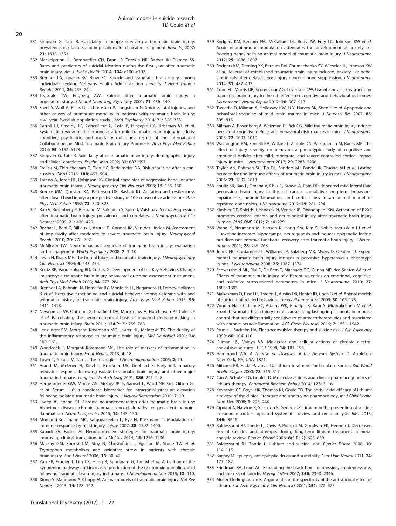- 331 Simpson G, Tate R. Suicidality in people surviving a traumatic brain injury: prevalence, risk factors and implications for clinical management. Brain Inj 2007; 21: 1335–1351.
- 332 Mackelprang JL, Bombardier CH, Fann JR, Temkin NR, Barber JK, Dikmen SS. Rates and predictors of suicidal ideation during the first year after traumatic brain injury. Am J Public Health 2014; 104: e100–e107.
- 333 Brenner LA, Ignacio RV, Blow FC. Suicide and traumatic brain injury among individuals seeking Veterans Health Administration services. J Head Trauma Rehabil 2011; 26: 257–264.
- 334 Teasdale TW, Engberg AW. Suicide after traumatic brain injury: a population study. J Neurol Neurosurg Psychiatry 2001; 71: 436–440.
- 335 Fazel S, Wolf A, Pillas D, Lichtenstein P, Langstrom N. Suicide, fatal injuries, and other causes of premature mortality in patients with traumatic brain injury: a 41-year Swedish population study. JAMA Psychiatry 2014; 71: 326–333.
- 336 Carroll LJ, Cassidy JD, Cancelliere C, Cote P, Hincapie CA, Kristman VL et al. Systematic review of the prognosis after mild traumatic brain injury in adults: cognitive, psychiatric, and mortality outcomes: results of the International Collaboration on Mild Traumatic Brain Injury Prognosis. Arch Phys Med Rehab 2014; 95: S152–S173.
- 337 Simpson G, Tate R. Suicidality after traumatic brain injury: demographic, injury and clinical correlates. Psychol Med 2002; 32: 687–697.
- 338 Fralick M, Thiruchelvam D, Tien HC, Redelmeier DA. Risk of suicide after a concussion. CMAJ 2016; 188: 497–504.
- 339 Tateno A, Jorge RE, Robinson RG. Clinical correlates of aggressive behavior after traumatic brain injury. J Neuropsychiatry Clin Neurosci 2003; 15: 155–160.
- 340 Brooke MM, Questad KA, Patterson DR, Bashak KJ. Agitation and restlessness after closed head injury: a prospective study of 100 consecutive admissions. Arch Phys Med Rehab 1992; 73: 320–323.
- 341 Rao V, Rosenberg P, Bertrand M, Salehinia S, Spiro J, Vaishnavi S et al. Aggression after traumatic brain injury: prevalence and correlates. J Neuropsychiatry Clin Neurosci 2009; 21: 420–429.
- 342 Rochat L, Beni C, Billieux J, Azouvi P, Annoni JM, Van der Linden M. Assessment of impulsivity after moderate to severe traumatic brain injury. Neuropsychol Rehabil 2010; 20: 778–797.
- 343 McAllister TW. Neurobehavioral sequelae of traumatic brain injury: evaluation and management. World Psychiatry 2008; 7: 3–10.
- 344 Levin H, Kraus MF. The frontal lobes and traumatic brain injury. J Neuropsychiatry Clin Neurosci 1994; 6: 443–454.
- 345 Kolitz BP, Vanderploeg RD, Curtiss G. Development of the Key Behaviors Change Inventory: a traumatic brain injury behavioral outcome assessment instrument. Arch Phys Med Rehab 2003; 84: 277–284.
- 346 Brenner LA, Bahraini N, Homaifar BY, Monteith LL, Nagamoto H, Dorsey-Holliman B et al. Executive functioning and suicidal behavior among veterans with and without a history of traumatic brain injury. Arch Phys Med Rehab 2015; 96: 1411–1418.
- 347 Newcombe VF, Outtrim JG, Chatfield DA, Manktelow A, Hutchinson PJ, Coles JP et al. Parcellating the neuroanatomical basis of impaired decision-making in traumatic brain injury. Brain 2011; 134(Pt 3): 759–768.
- 348 Lenzlinger PM, Morganti-Kossmann MC, Laurer HL, McIntosh TK. The duality of the inflammatory response to traumatic brain injury. Mol Neurobiol 2001; 24: 169–181.
- 349 Woodcock T, Morganti-Kossmann MC. The role of markers of inflammation in traumatic brain injury. Front Neurol 2013; 4: 18.
- 350 Town T, Nikolic V, Tan J. The microglial. J Neuroinflammation 2005; 2: 24.
- 351 Arand M, Melzner H, Kinzl L, Bruckner UB, Gebhard F. Early inflammatory mediator response following isolated traumatic brain injury and other major trauma in humans. Langenbecks Arch Surg 2001; 386: 241–248.
- 352 Hergenroeder GW, Moore AN, McCoy JP Jr, Samsel L, Ward NH 3rd, Clifton GL et al. Serum IL-6: a candidate biomarker for intracranial pressure elevation following isolated traumatic brain injury. J Neuroinflammation 2010; 7: 19.
- 353 Faden AI, Loane DJ. Chronic neurodegeneration after traumatic brain injury: Alzheimer disease, chronic traumatic encephalopathy, or persistent neuroinflammation? Neurotherapeutics 2015; 12: 143-150.
- 354 Morganti-Kossmann MC, Satgunaseelan L, Bye N, Kossmann T. Modulation of immune response by head injury. Injury 2007; 38: 1392–1400.
- 355 Kabadi SV, Faden AI. Neuroprotective strategies for traumatic brain injury: improving clinical translation. Int J Mol Sci 2014; 15: 1216–1236.
- 356 Mackay GM, Forrest CM, Stoy N, Christofides J, Egerton M, Stone TW et al. Tryptophan metabolism and oxidative stress in patients with chronic brain injury. Eur J Neurol 2006; 13: 30–42.
- 357 Yan EB, Frugier T, Lim CK, Heng B, Sundaram G, Tan M et al. Activation of the kynurenine pathway and increased production of the excitotoxin quinolinic acid following traumatic brain injury in humans. J Neuroinflammation 2015; 12: 110.
- 358 Xiong Y, Mahmood A, Chopp M. Animal models of traumatic brain injury. Nat Rev Neurosci 2013; 14: 128–142.
- 359 Rodgers KM, Bercum FM, McCallum DL, Rudy JW, Frey LC, Johnson KW et al. Acute neuroimmune modulation attenuates the development of anxiety-like freezing behavior in an animal model of traumatic brain injury. J Neurotrauma 2012; 29: 1886–1897.
- 360 Rodgers KM, Deming YK, Bercum FM, Chumachenko SY, Wieseler JL, Johnson KW et al. Reversal of established traumatic brain injury-induced, anxiety-like behavior in rats after delayed, post-injury neuroimmune suppression. J Neurotrauma 2014; 31: 487–497.
- 361 Cope EC, Morris DR, Scrimgeour AG, Levenson CW. Use of zinc as a treatment for traumatic brain injury in the rat: effects on cognitive and behavioral outcomes. Neurorehabil Neural Repair 2012; 26: 907–913.
- 362 Tweedie D, Milman A, Holloway HW, Li Y, Harvey BK, Shen H et al. Apoptotic and behavioral sequelae of mild brain trauma in mice. J Neurosci Res 2007; 85: 805–815.
- 363 Milman A, Rosenberg A, Weizman R, Pick CG. Mild traumatic brain injury induces persistent cognitive deficits and behavioral disturbances in mice. J Neurotrauma 2005; 22: 1003–1010.
- 364 Washington PM, Forcelli PA, Wilkins T, Zapple DN, Parsadanian M, Burns MP. The effect of injury severity on behavior: a phenotypic study of cognitive and emotional deficits after mild, moderate, and severe controlled cortical impact injury in mice. J Neurotrauma 2012; 29: 2283–2296.
- 365 Taylor AN, Rahman SU, Tio DL, Sanders MJ, Bando JK, Truong AH et al. Lasting neuroendocrine-immune effects of traumatic brain injury in rats. J Neurotrauma 2006; 23: 1802–1813.
- 366 Shultz SR, Bao F, Omana V, Chiu C, Brown A, Cain DP. Repeated mild lateral fluid percussion brain injury in the rat causes cumulative long-term behavioral impairments, neuroinflammation, and cortical loss in an animal model of repeated concussion. J Neurotrauma 2012; 29: 281–294.
- 367 Kimbler DE, Shields J, Yanasak N, Vender JR, Dhandapani KM. Activation of P2X7 promotes cerebral edema and neurological injury after traumatic brain injury in mice. PLoS ONE 2012; 7: e41229.
- 368 Wang Y, Neumann M, Hansen K, Hong SM, Kim S, Noble-Haeusslein LJ et al. Fluoxetine increases hippocampal neurogenesis and induces epigenetic factors but does not improve functional recovery after traumatic brain injury. J Neurotrauma 2011; 28: 259–268.
- 369 Jones NC, Cardamone L, Williams JP, Salzberg MR, Myers D, O'Brien TJ. Experimental traumatic brain injury induces a pervasive hyperanxious phenotype in rats. J Neurotrauma 2008; 25: 1367–1374.
- 370 Schwarzbold ML, Rial D, De Bem T, Machado DG, Cunha MP, dos Santos AA et al. Effects of traumatic brain injury of different severities on emotional, cognitive, and oxidative stress-related parameters in mice. J Neurotrauma 2010; 27: 1883–1893.
- 371 Malkesman O, Pine DS, Tragon T, Austin DR, Henter ID, Chen G et al. Animal models of suicide-trait-related behaviors. Trends Pharmacol Sci 2009; 30: 165–173.
- 372 Vonder Haar C, Lam FC, Adams WK, Riparip LK, Kaur S, Muthukrishna M et al. Frontal traumatic brain injury in rats causes long-lasting impairments in impulse control that are differentially sensitive to pharmacotherapeutics and associated with chronic neuroinflammation. ACS Chem Neurosci 2016; 7: 1531–1542.
- 373 Prudic J, Sackeim HA. Electroconvulsive therapy and suicide risk. J Clin Psychiatry 1999; 60: 104–110.
- 374 Duman RS, Vaidya VA. Molecular and cellular actions of chronic electroconvulsive seizures. J ECT 1998; 14: 181–193.
- 375 Hammond WA. A Treatise on Diseases of the Nervous System. D. Appleton: New York, NY, USA, 1871.
- 376 Mitchell PB, Hadzi-Pavlovic D. Lithium treatment for bipolar disorder. Bull World Health Organ 2000; 78: 515–517.
- 377 Can A, Schulze TG, Gould TD. Molecular actions and clinical pharmacogenetics of lithium therapy. Pharmacol Biochem Behav 2014; 123: 3–16.
- 378 Kovacsics CE, Goyal HK, Thomas KJ, Gould TD. The antisuicidal efficacy of lithium: a review of the clinical literature and underlying pharmacology. Int J Child Health Hum Dev 2008; 1: 225–244.
- 379 Cipriani A, Hawton K, Stockton S, Geddes JR. Lithium in the prevention of suicide in mood disorders: updated systematic review and meta-analysis. BMJ 2013; 346: f3646.
- 380 Baldessarini RJ, Tondo L, Davis P, Pompili M, Goodwin FK, Hennen J. Decreased risk of suicides and attempts during long-term lithium treatment: a metaanalytic review. Bipolar Disord 2006; 8(5 Pt 2): 625–639.
- 381 Baldessarini RJ, Tondo L. Lithium and suicidal risk. Bipolar Disord 2008; 10: 114–115.
- 382 Bagary M. Epilepsy, antiepileptic drugs and suicidality. Curr Opin Neurol 2011; 24: 177–182.
- 383 Friedman RA, Leon AC. Expanding the black box depression, antidepressants, and the risk of suicide. N Engl J Med 2007; 356: 2343–2346.
- 384 Muller-Oerlinghausen B. Arguments for the specificity of the antisuicidal effect of lithium. Eur Arch Psychiatry Clin Neurosci 2001; 251: II72–II75.

 $\overline{20}$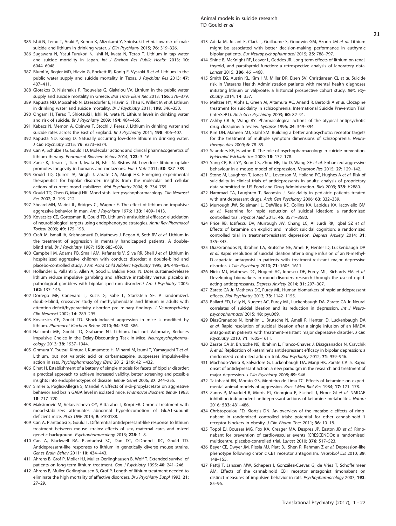- 385 Ishii N, Terao T, Araki Y, Kohno K, Mizokami Y, Shiotsuki I et al. Low risk of male suicide and lithium in drinking water. J Clin Psychiatry 2015; 76: 319–326.
- 386 Sugawara N, Yasui-Furukori N, Ishii N, Iwata N, Terao T. Lithium in tap water and suicide mortality in Japan. Int J Environ Res Public Health 2013; 10: 6044–6048.
- 387 Bluml V, Regier MD, Hlavin G, Rockett IR, Konig F, Vyssoki B et al. Lithium in the public water supply and suicide mortality in Texas. J Psychiatr Res 2013; 47: 407–411.
- 388 Giotakos O, Nisianakis P, Tsouvelas G, Giakalou VV. Lithium in the public water supply and suicide mortality in Greece. Biol Trace Elem Res 2013; 156: 376-379.
- 389 Kapusta ND, Mossaheb N, Etzersdorfer E, Hlavin G, Thau K, Willeit M et al. Lithium in drinking water and suicide mortality. Br J Psychiatry 2011; 198: 346-350.
- 390 Ohgami H, Terao T, Shiotsuki I, Ishii N, Iwata N. Lithium levels in drinking water and risk of suicide. Br J Psychiatry 2009; 194: 464–465.
- 391 Kabacs N, Memon A, Obinwa T, Stochl J, Perez J. Lithium in drinking water and suicide rates across the East of England. Br J Psychiatry 2011; 198: 406-407.
- 392 Kapusta ND, Konig D. Naturally occurring low-dose lithium in drinking water. J Clin Psychiatry 2015; 76: e373–e374.
- 393 Can A, Schulze TG, Gould TD. Molecular actions and clinical pharmacogenetics of lithium therapy. Pharmacol Biochem Behav 2014; 123: 3–16.
- 394 Zarse K, Terao T, Tian J, Iwata N, Ishii N, Ristow M. Low-dose lithium uptake promotes longevity in humans and metazoans. Eur J Nutr 2011; 50: 387–389.
- 395 Gould TD, Quiroz JA, Singh J, Zarate CA, Manji HK. Emerging experimental therapeutics for bipolar disorder: insights from the molecular and cellular actions of current mood stabilizers. Mol Psychiatry 2004; 9: 734–755.
- 396 Gould TD, Chen G, Manji HK. Mood stabilizer psychopharmacology. Clin Neurosci Res 2002; 2: 193–212.
- 397 Sheard MH, Marini JL, Bridges CI, Wagner E. The effect of lithium on impulsive aggressive behavior in man. Am J Psychiatry 1976; 133: 1409–1413.
- 398 Kovacsics CE, Gottesman II, Gould TD. Lithium's antisuicidal efficacy: elucidation of neurobiological targets using endophenotype strategies. Annu Rev Pharmacol Toxicol 2009; 49: 175–198.
- 399 Craft M, Ismail IA, Krishnamurti D, Mathews J, Regan A, Seth RV et al. Lithium in the treatment of aggression in mentally handicapped patients. A doubleblind trial. Br J Psychiatry 1987; 150: 685–689.
- 400 Campbell M, Adams PB, Small AM, Kafantaris V, Silva RR, Shell J et al. Lithium in hospitalized aggressive children with conduct disorder: a double-blind and placebo-controlled study. J Am Acad Child Adolesc Psychiatry 1995; 34: 445–453.
- 401 Hollander E, Pallanti S, Allen A, Sood E, Baldini Rossi N. Does sustained-release lithium reduce impulsive gambling and affective instability versus placebo in pathological gamblers with bipolar spectrum disorders? Am J Psychiatry 2005; 162: 137–145.
- 402 Dorrego MF, Canevaro L, Kuzis G, Sabe L, Starkstein SE. A randomized, double-blind, crossover study of methylphenidate and lithium in adults with attention-deficit/hyperactivity disorder: preliminary findings. J Neuropsychiatry Clin Neurosci 2002; 14: 289–295.
- 403 Kovacsics CE, Gould TD. Shock-induced aggression in mice is modified by lithium. Pharmacol Biochem Behav 2010; 94: 380–386.
- 404 Halcomb ME, Gould TD, Grahame NJ. Lithium, but not Valproate, Reduces Impulsive Choice in the Delay-Discounting Task in Mice. Neuropsychopharmacology 2013; 38: 1937–1944.
- 405 Ohmura Y, Tsutsui-Kimura I, Kumamoto H, Minami M, Izumi T, Yamaguchi T et al. Lithium, but not valproic acid or carbamazepine, suppresses impulsive-like action in rats. Psychopharmacology (Berl) 2012; 219: 421-432.
- 406 Einat H. Establishment of a battery of simple models for facets of bipolar disorder: a practical approach to achieve increased validity, better screening and possible insights into endophenotypes of disease. Behav Genet 2006; 37: 244–255.
- 407 Simler S, Puglisi-Allegra S, Mandel P. Effects of n-di-propylacetate on aggressive behavior and brain GABA level in isolated mice. Pharmacol Biochem Behav 1983; 18: 717–720.
- 408 Maksimovic M, Vekovischeva OY, Aitta-aho T, Korpi ER. Chronic treatment with mood-stabilizers attenuates abnormal hyperlocomotion of GluA1-subunit deficient mice. PLoS ONE 2014; 9: e100188.
- 409 Can A, Piantadosi S, Gould T. Differential antidepressant-like response to lithium treatment between mouse strains: effects of sex, maternal care, and mixed genetic background. Psychopharmacology 2013; 228: 1–8.
- 410 Can A, Blackwell RA, Piantadosi SC, Dao DT, O'Donnell KC, Gould TD. Antidepressant-like responses to lithium in genetically diverse mouse strains. Genes Brain Behav 2011; 10: 434–443.
- 411 Ahrens B, Grof P, Moller HJ, Muller-Oerlinghausen B, Wolf T. Extended survival of patients on long-term lithium treatment. Can J Psychiatry 1995; 40: 241-246.
- 412 Ahrens B, Muller-Oerlinghausen B, Grof P. Length of lithium treatment needed to eliminate the high mortality of affective disorders. Br J Psychiatry Suppl 1993; 21: 27–29.
- 413 Adida M, Jollant F, Clark L, Guillaume S, Goodwin GM, Azorin JM et al. Lithium might be associated with better decision-making performance in euthymic bipolar patients. Eur Neuropsychopharmacol 2015; 25: 788–797.
- 414 Shine B, McKnight RF, Leaver L, Geddes JR. Long-term effects of lithium on renal, thyroid, and parathyroid function: a retrospective analysis of laboratory data. Lancet 2015; 386: 461–468.
- 415 Smith EG, Austin KL, Kim HM, Miller DR, Eisen SV, Christiansen CL et al. Suicide risk in Veterans Health Administration patients with mental health diagnoses initiating lithium or valproate: a historical prospective cohort study. BMC Psychiatry 2014; 14: 357.
- 416 Meltzer HY, Alphs L, Green AI, Altamura AC, Anand R, Bertoldi A et al. Clozapine treatment for suicidality in schizophrenia: International Suicide Prevention Trial (InterSePT). Arch Gen Psychiatry 2003; 60: 82–91.
- 417 Ashby CR Jr, Wang RY. Pharmacological actions of the atypical antipsychotic drug clozapine: a review. Synapse 1996; 24: 349–394.
- 418 Kim DH, Maneen MJ, Stahl SM. Building a better antipsychotic: receptor targets for the treatment of multiple symptom dimensions of schizophrenia. Neurotherapeutics 2009; 6: 78–85.
- 419 Saunders KE, Hawton K. The role of psychopharmacology in suicide prevention. Epidemiol Psichiatr Soc 2009; 18: 172–178.
- 420 Yang CR, Bai YY, Ruan CS, Zhou HF, Liu D, Wang XF et al. Enhanced aggressive behaviour in a mouse model of depression. Neurotox Res 2015; 27: 129–142.
- 421 Stone M, Laughren T, Jones ML, Levenson M, Holland PC, Hughes A et al. Risk of suicidality in clinical trials of antidepressants in adults: analysis of proprietary data submitted to US Food and Drug Administration. BMJ 2009; 339: b2880.
- 422 Hammad TA, Laughren T, Racoosin J. Suicidality in pediatric patients treated with antidepressant drugs. Arch Gen Psychiatry 2006; 63: 332–339.
- 423 Murrough JW, Soleimani L, DeWilde KE, Collins KA, Lapidus KA, Iacoviello BM et al. Ketamine for rapid reduction of suicidal ideation: a randomized controlled trial. Psychol Med 2015; 45: 3571–3580.
- 424 Price RB, Iosifescu DV, Murrough JW, Chang LC, Al Jurdi RK, Iqbal SZ et al. Effects of ketamine on explicit and implicit suicidal cognition: a randomized controlled trial in treatment-resistant depression. Depress Anxiety 2014; 31: 335–343.
- 425 DiazGranados N, Ibrahim LA, Brutsche NE, Ameli R, Henter ID, Luckenbaugh DA et al. Rapid resolution of suicidal ideation after a single infusion of an N-methyl-D-aspartate antagonist in patients with treatment-resistant major depressive disorder. J Clin Psychiatry 2010; 71: 1605–1611.
- 426 Niciu MJ, Mathews DC, Nugent AC, Ionescu DF, Furey ML, Richards EM et al. Developing biomarkers in mood disorders research through the use of rapidacting antidepressants. Depress Anxiety 2014; 31: 297–307.
- 427 Zarate CA Jr, Mathews DC, Furey ML. Human biomarkers of rapid antidepressant effects. Biol Psychiatry 2013; 73: 1142–1155.
- 428 Ballard ED, Lally N, Nugent AC, Furey ML, Luckenbaugh DA, Zarate CA Jr. Neural correlates of suicidal ideation and its reduction in depression. Int J Neuropsychopharmacol 2015; 18: pyu069.
- 429 DiazGranados N, Ibrahim L, Brutsche N, Ameli R, Henter ID, Luckenbaugh DA et al. Rapid resolution of suicidal ideation after a single infusion of an NMDA antagonist in patients with treatment-resistant major depressive disorder. J Clin Psychiatry 2010; 71: 1605–1611.
- 430 Zarate CA Jr, Brutsche NE, Ibrahim L, Franco-Chaves J, Diazgranados N, Cravchik A et al. Replication of ketamine's antidepressant efficacy in bipolar depression: a randomized controlled add-on trial. Biol Psychiatry 2012; 71: 939–946.
- 431 Machado-Vieira R, Salvadore G, Luckenbaugh DA, Manji HK, Zarate CA Jr. Rapid onset of antidepressant action: a new paradigm in the research and treatment of major depression. J Clin Psychiatry 2008; 69: 946.
- 432 Takahashi RN, Morato GS, Monteiro-de-Lima TC. Effects of ketamine on experimental animal models of aggression. Braz J Med Biol Res 1984; 17: 171–178.
- 433 Zanos P, Moaddel R, Morris PJ, Georgiou P, Fischell J, Elmer GI et al. NMDAR inhibition-independent antidepressant actions of ketamine metabolites. Nature 2016; 533: 481–486.
- 434 Christopoulou FD, Kiortsis DN. An overview of the metabolic effects of rimonabant in randomized controlled trials: potential for other cannabinoid 1 receptor blockers in obesity. J Clin Pharm Ther 2011; 36: 10–18.
- 435 Topol EJ, Bousser MG, Fox KA, Creager MA, Despres JP, Easton JD et al. Rimonabant for prevention of cardiovascular events (CRESCENDO): a randomised, multicentre, placebo-controlled trial. Lancet 2010; 376: 517–523.
- 436 Beyer CE, Dwyer JM, Piesla MJ, Platt BJ, Shen R, Rahman Z et al. Depression-like phenotype following chronic CB1 receptor antagonism. Neurobiol Dis 2010; 39: 148–155.
- 437 Pattij T, Janssen MW, Schepers I, González-Cuevas G, de Vries T, Schoffelmeer AM. Effects of the cannabinoid CB1 receptor antagonist rimonabant on distinct measures of impulsive behavior in rats. Psychopharmacology 2007; 193: 85–96.